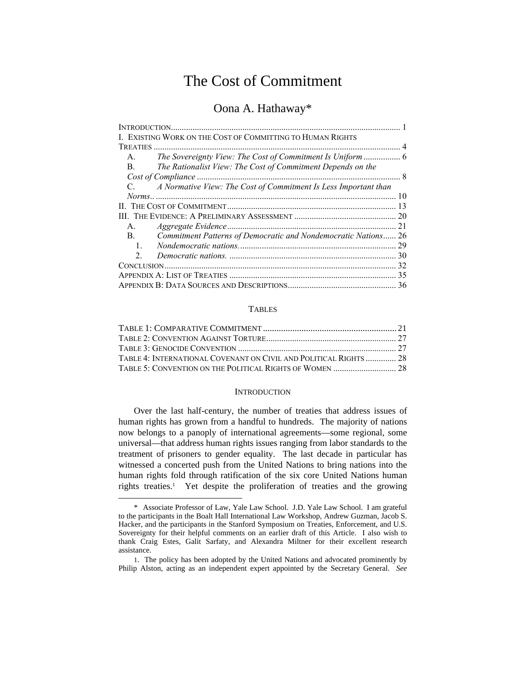# The Cost of Commitment

# Oona A. Hathaway\*

| I. EXISTING WORK ON THE COST OF COMMITTING TO HUMAN RIGHTS                       |    |
|----------------------------------------------------------------------------------|----|
| TREATIES                                                                         |    |
| $A_{1}$                                                                          |    |
| The Rationalist View: The Cost of Commitment Depends on the<br>$\mathbf{B}$ .    |    |
| Cost of Compliance.                                                              |    |
| A Normative View: The Cost of Commitment Is Less Important than<br>$C_{\cdot}$ . |    |
|                                                                                  |    |
|                                                                                  |    |
|                                                                                  |    |
| $A_{1}$                                                                          | 21 |
| Commitment Patterns of Democratic and Nondemocratic Nations 26<br>$\mathbf{B}$ . |    |
| $\mathbf{1}_{\cdot}$                                                             | 29 |
| 2                                                                                |    |
|                                                                                  | 32 |
|                                                                                  | 35 |
|                                                                                  | 36 |

### TABLES

| TABLE 4: INTERNATIONAL COVENANT ON CIVIL AND POLITICAL RIGHTS  28 |  |
|-------------------------------------------------------------------|--|
|                                                                   |  |

### **INTRODUCTION**

Over the last half-century, the number of treaties that address issues of human rights has grown from a handful to hundreds. The majority of nations now belongs to a panoply of international agreements—some regional, some universal—that address human rights issues ranging from labor standards to the treatment of prisoners to gender equality. The last decade in particular has witnessed a concerted push from the United Nations to bring nations into the human rights fold through ratification of the six core United Nations human rights treaties.1 Yet despite the proliferation of treaties and the growing

<sup>\*</sup> Associate Professor of Law, Yale Law School. J.D. Yale Law School. I am grateful to the participants in the Boalt Hall International Law Workshop, Andrew Guzman, Jacob S. Hacker, and the participants in the Stanford Symposium on Treaties, Enforcement, and U.S. Sovereignty for their helpful comments on an earlier draft of this Article. I also wish to thank Craig Estes, Galit Sarfaty, and Alexandra Miltner for their excellent research assistance.

<sup>1.</sup> The policy has been adopted by the United Nations and advocated prominently by Philip Alston, acting as an independent expert appointed by the Secretary General. *See*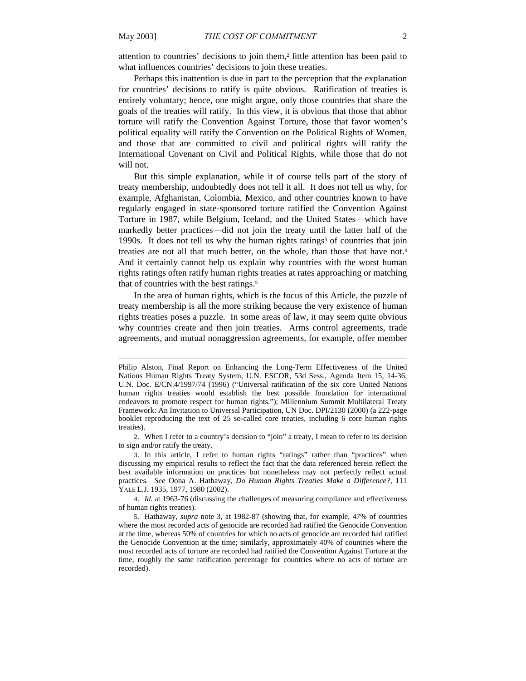attention to countries' decisions to join them,2 little attention has been paid to what influences countries' decisions to join these treaties.

Perhaps this inattention is due in part to the perception that the explanation for countries' decisions to ratify is quite obvious. Ratification of treaties is entirely voluntary; hence, one might argue, only those countries that share the goals of the treaties will ratify. In this view, it is obvious that those that abhor torture will ratify the Convention Against Torture, those that favor women's political equality will ratify the Convention on the Political Rights of Women, and those that are committed to civil and political rights will ratify the International Covenant on Civil and Political Rights, while those that do not will not.

But this simple explanation, while it of course tells part of the story of treaty membership, undoubtedly does not tell it all. It does not tell us why, for example, Afghanistan, Colombia, Mexico, and other countries known to have regularly engaged in state-sponsored torture ratified the Convention Against Torture in 1987, while Belgium, Iceland, and the United States—which have markedly better practices—did not join the treaty until the latter half of the 1990s. It does not tell us why the human rights ratings<sup>3</sup> of countries that join treaties are not all that much better, on the whole, than those that have not.4 And it certainly cannot help us explain why countries with the worst human rights ratings often ratify human rights treaties at rates approaching or matching that of countries with the best ratings.<sup>5</sup>

In the area of human rights, which is the focus of this Article, the puzzle of treaty membership is all the more striking because the very existence of human rights treaties poses a puzzle. In some areas of law, it may seem quite obvious why countries create and then join treaties. Arms control agreements, trade agreements, and mutual nonaggression agreements, for example, offer member

Philip Alston, Final Report on Enhancing the Long-Term Effectiveness of the United Nations Human Rights Treaty System, U.N. ESCOR, 53d Sess., Agenda Item 15, 14-36, U.N. Doc. E/CN.4/1997/74 (1996) ("Universal ratification of the six core United Nations human rights treaties would establish the best possible foundation for international endeavors to promote respect for human rights."); Millennium Summit Multilateral Treaty Framework: An Invitation to Universal Participation, UN Doc. DPI/2130 (2000) (a 222-page booklet reproducing the text of 25 so-called core treaties, including 6 core human rights treaties).

<sup>2.</sup> When I refer to a country's decision to "join" a treaty, I mean to refer to its decision to sign and/or ratify the treaty.

<sup>3.</sup> In this article, I refer to human rights "ratings" rather than "practices" when discussing my empirical results to reflect the fact that the data referenced herein reflect the best available information on practices but nonetheless may not perfectly reflect actual practices. *See* Oona A. Hathaway, *Do Human Rights Treaties Make a Difference?*, 111 YALE L.J. 1935, 1977, 1980 (2002).

<sup>4.</sup> *Id.* at 1963-76 (discussing the challenges of measuring compliance and effectiveness of human rights treaties).

<sup>5.</sup> Hathaway, *supra* note 3, at 1982-87 (showing that, for example, 47% of countries where the most recorded acts of genocide are recorded had ratified the Genocide Convention at the time, whereas 50% of countries for which no acts of genocide are recorded had ratified the Genocide Convention at the time; similarly, approximately 40% of countries where the most recorded acts of torture are recorded had ratified the Convention Against Torture at the time, roughly the same ratification percentage for countries where no acts of torture are recorded).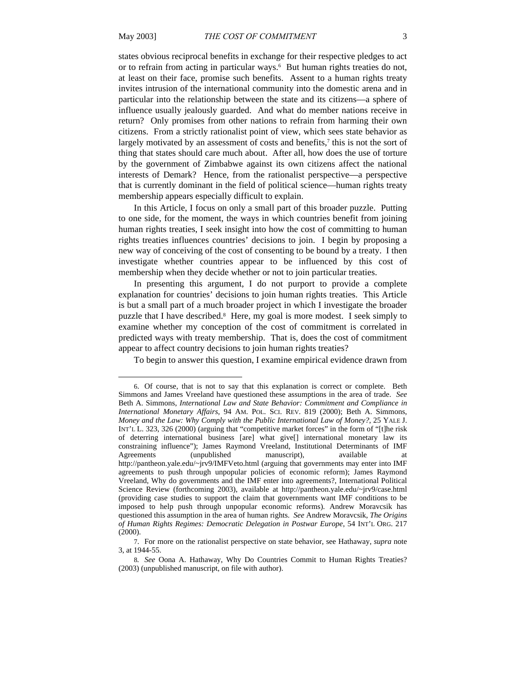states obvious reciprocal benefits in exchange for their respective pledges to act or to refrain from acting in particular ways.6 But human rights treaties do not, at least on their face, promise such benefits. Assent to a human rights treaty invites intrusion of the international community into the domestic arena and in particular into the relationship between the state and its citizens—a sphere of influence usually jealously guarded. And what do member nations receive in return? Only promises from other nations to refrain from harming their own citizens. From a strictly rationalist point of view, which sees state behavior as largely motivated by an assessment of costs and benefits,<sup>7</sup> this is not the sort of thing that states should care much about. After all, how does the use of torture by the government of Zimbabwe against its own citizens affect the national interests of Demark? Hence, from the rationalist perspective—a perspective that is currently dominant in the field of political science—human rights treaty membership appears especially difficult to explain.

In this Article, I focus on only a small part of this broader puzzle. Putting to one side, for the moment, the ways in which countries benefit from joining human rights treaties, I seek insight into how the cost of committing to human rights treaties influences countries' decisions to join. I begin by proposing a new way of conceiving of the cost of consenting to be bound by a treaty. I then investigate whether countries appear to be influenced by this cost of membership when they decide whether or not to join particular treaties.

In presenting this argument, I do not purport to provide a complete explanation for countries' decisions to join human rights treaties. This Article is but a small part of a much broader project in which I investigate the broader puzzle that I have described.8 Here, my goal is more modest. I seek simply to examine whether my conception of the cost of commitment is correlated in predicted ways with treaty membership. That is, does the cost of commitment appear to affect country decisions to join human rights treaties?

To begin to answer this question, I examine empirical evidence drawn from

<sup>6.</sup> Of course, that is not to say that this explanation is correct or complete. Beth Simmons and James Vreeland have questioned these assumptions in the area of trade. *See*  Beth A. Simmons, *International Law and State Behavior: Commitment and Compliance in International Monetary Affairs*, 94 AM. POL. SCI. REV. 819 (2000); Beth A. Simmons, *Money and the Law: Why Comply with the Public International Law of Money?*, 25 YALE J. INT'L L. 323, 326 (2000) (arguing that "competitive market forces" in the form of "[t]he risk of deterring international business [are] what give[] international monetary law its constraining influence"); James Raymond Vreeland, Institutional Determinants of IMF Agreements (unpublished manuscript), available at http://pantheon.yale.edu/~jrv9/IMFVeto.html (arguing that governments may enter into IMF agreements to push through unpopular policies of economic reform); James Raymond Vreeland, Why do governments and the IMF enter into agreements?, International Political Science Review (forthcoming 2003), available at http://pantheon.yale.edu/~jrv9/case.html (providing case studies to support the claim that governments want IMF conditions to be imposed to help push through unpopular economic reforms). Andrew Moravcsik has questioned this assumption in the area of human rights. *See* Andrew Moravcsik, *The Origins of Human Rights Regimes: Democratic Delegation in Postwar Europe*, 54 INT'L ORG. 217 (2000).

<sup>7.</sup> For more on the rationalist perspective on state behavior, see Hathaway, *supra* note 3, at 1944-55.

<sup>8</sup>*. See* Oona A. Hathaway, Why Do Countries Commit to Human Rights Treaties? (2003) (unpublished manuscript, on file with author).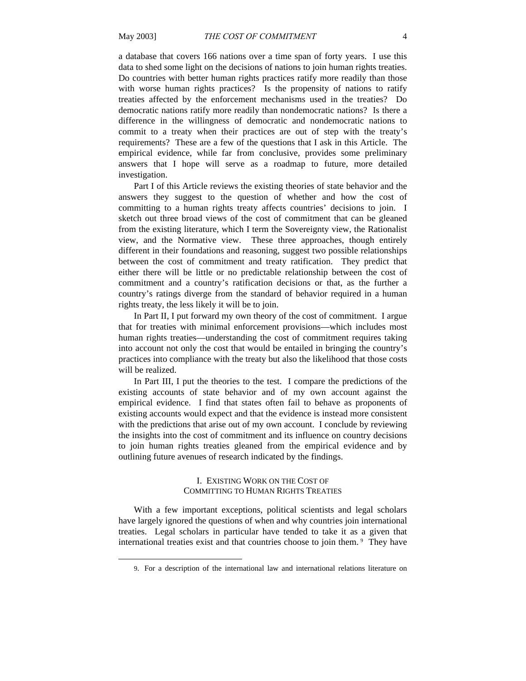a database that covers 166 nations over a time span of forty years. I use this data to shed some light on the decisions of nations to join human rights treaties. Do countries with better human rights practices ratify more readily than those with worse human rights practices? Is the propensity of nations to ratify treaties affected by the enforcement mechanisms used in the treaties? Do democratic nations ratify more readily than nondemocratic nations? Is there a difference in the willingness of democratic and nondemocratic nations to commit to a treaty when their practices are out of step with the treaty's requirements? These are a few of the questions that I ask in this Article. The empirical evidence, while far from conclusive, provides some preliminary answers that I hope will serve as a roadmap to future, more detailed investigation.

Part I of this Article reviews the existing theories of state behavior and the answers they suggest to the question of whether and how the cost of committing to a human rights treaty affects countries' decisions to join. I sketch out three broad views of the cost of commitment that can be gleaned from the existing literature, which I term the Sovereignty view, the Rationalist view, and the Normative view. These three approaches, though entirely different in their foundations and reasoning, suggest two possible relationships between the cost of commitment and treaty ratification. They predict that either there will be little or no predictable relationship between the cost of commitment and a country's ratification decisions or that, as the further a country's ratings diverge from the standard of behavior required in a human rights treaty, the less likely it will be to join.

In Part II, I put forward my own theory of the cost of commitment. I argue that for treaties with minimal enforcement provisions—which includes most human rights treaties—understanding the cost of commitment requires taking into account not only the cost that would be entailed in bringing the country's practices into compliance with the treaty but also the likelihood that those costs will be realized.

In Part III, I put the theories to the test. I compare the predictions of the existing accounts of state behavior and of my own account against the empirical evidence. I find that states often fail to behave as proponents of existing accounts would expect and that the evidence is instead more consistent with the predictions that arise out of my own account. I conclude by reviewing the insights into the cost of commitment and its influence on country decisions to join human rights treaties gleaned from the empirical evidence and by outlining future avenues of research indicated by the findings.

### I. EXISTING WORK ON THE COST OF COMMITTING TO HUMAN RIGHTS TREATIES

With a few important exceptions, political scientists and legal scholars have largely ignored the questions of when and why countries join international treaties. Legal scholars in particular have tended to take it as a given that international treaties exist and that countries choose to join them. 9 They have

<sup>9.</sup> For a description of the international law and international relations literature on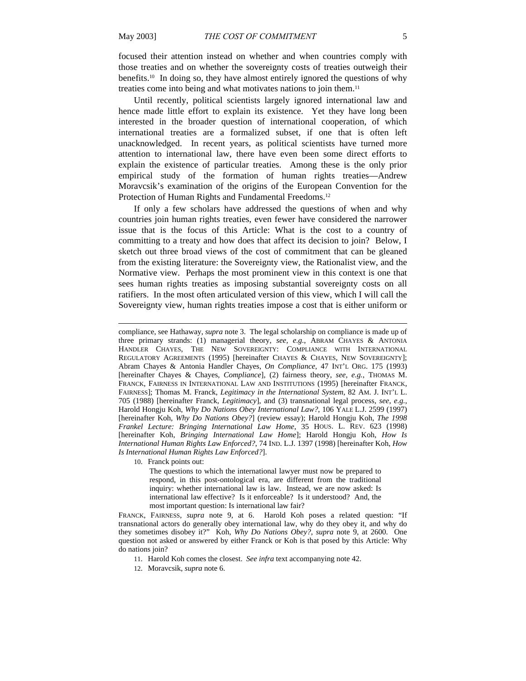l

focused their attention instead on whether and when countries comply with those treaties and on whether the sovereignty costs of treaties outweigh their benefits.10 In doing so, they have almost entirely ignored the questions of why treaties come into being and what motivates nations to join them.11

Until recently, political scientists largely ignored international law and hence made little effort to explain its existence. Yet they have long been interested in the broader question of international cooperation, of which international treaties are a formalized subset, if one that is often left unacknowledged. In recent years, as political scientists have turned more attention to international law, there have even been some direct efforts to explain the existence of particular treaties. Among these is the only prior empirical study of the formation of human rights treaties—Andrew Moravcsik's examination of the origins of the European Convention for the Protection of Human Rights and Fundamental Freedoms.<sup>12</sup>

If only a few scholars have addressed the questions of when and why countries join human rights treaties, even fewer have considered the narrower issue that is the focus of this Article: What is the cost to a country of committing to a treaty and how does that affect its decision to join? Below, I sketch out three broad views of the cost of commitment that can be gleaned from the existing literature: the Sovereignty view, the Rationalist view, and the Normative view. Perhaps the most prominent view in this context is one that sees human rights treaties as imposing substantial sovereignty costs on all ratifiers. In the most often articulated version of this view, which I will call the Sovereignty view, human rights treaties impose a cost that is either uniform or

10. Franck points out:

The questions to which the international lawyer must now be prepared to respond, in this post-ontological era, are different from the traditional inquiry: whether international law is law. Instead, we are now asked: Is international law effective? Is it enforceable? Is it understood? And, the most important question: Is international law fair?

FRANCK, FAIRNESS, *supra* note 9, at 6. Harold Koh poses a related question: "If transnational actors do generally obey international law, why do they obey it, and why do they sometimes disobey it?" Koh, *Why Do Nations Obey?*, *supra* note 9, at 2600. One question not asked or answered by either Franck or Koh is that posed by this Article: Why do nations join?

11. Harold Koh comes the closest. *See infra* text accompanying note 42.

12. Moravcsik, *supra* note 6.

compliance, see Hathaway, *supra* note 3. The legal scholarship on compliance is made up of three primary strands: (1) managerial theory, *see, e.g.*, ABRAM CHAYES & ANTONIA HANDLER CHAYES, THE NEW SOVEREIGNTY: COMPLIANCE WITH INTERNATIONAL REGULATORY AGREEMENTS (1995) [hereinafter CHAYES & CHAYES, NEW SOVEREIGNTY]; Abram Chayes & Antonia Handler Chayes, *On Compliance*, 47 INT'L ORG. 175 (1993) [hereinafter Chayes & Chayes, *Compliance*], (2) fairness theory, *see, e.g.*, THOMAS M. FRANCK, FAIRNESS IN INTERNATIONAL LAW AND INSTITUTIONS (1995) [hereinafter FRANCK, FAIRNESS]; Thomas M. Franck, *Legitimacy in the International System*, 82 AM. J. INT'L L. 705 (1988) [hereinafter Franck, *Legitimacy*], and (3) transnational legal process, *see, e.g.*, Harold Hongju Koh, *Why Do Nations Obey International Law?*, 106 YALE L.J. 2599 (1997) [hereinafter Koh, *Why Do Nations Obey?*] (review essay); Harold Hongju Koh, *The 1998 Frankel Lecture: Bringing International Law Home*, 35 HOUS. L. REV. 623 (1998) [hereinafter Koh, *Bringing International Law Home*]; Harold Hongju Koh, *How Is International Human Rights Law Enforced?*, 74 IND. L.J. 1397 (1998) [hereinafter Koh, *How Is International Human Rights Law Enforced?*].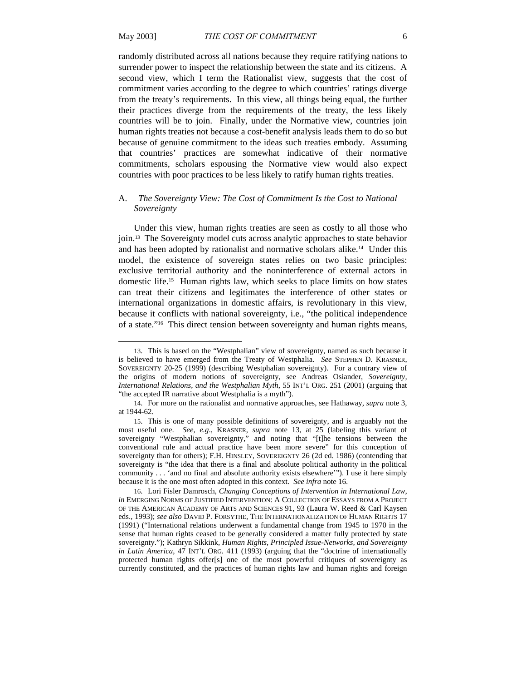l

randomly distributed across all nations because they require ratifying nations to surrender power to inspect the relationship between the state and its citizens. A second view, which I term the Rationalist view, suggests that the cost of commitment varies according to the degree to which countries' ratings diverge from the treaty's requirements. In this view, all things being equal, the further their practices diverge from the requirements of the treaty, the less likely countries will be to join. Finally, under the Normative view, countries join human rights treaties not because a cost-benefit analysis leads them to do so but because of genuine commitment to the ideas such treaties embody. Assuming that countries' practices are somewhat indicative of their normative commitments, scholars espousing the Normative view would also expect countries with poor practices to be less likely to ratify human rights treaties.

# A. *The Sovereignty View: The Cost of Commitment Is the Cost to National Sovereignty*

Under this view, human rights treaties are seen as costly to all those who join.13 The Sovereignty model cuts across analytic approaches to state behavior and has been adopted by rationalist and normative scholars alike.14 Under this model, the existence of sovereign states relies on two basic principles: exclusive territorial authority and the noninterference of external actors in domestic life.15 Human rights law, which seeks to place limits on how states can treat their citizens and legitimates the interference of other states or international organizations in domestic affairs, is revolutionary in this view, because it conflicts with national sovereignty, i.e., "the political independence of a state."16 This direct tension between sovereignty and human rights means,

<sup>13.</sup> This is based on the "Westphalian" view of sovereignty, named as such because it is believed to have emerged from the Treaty of Westphalia. *See* STEPHEN D. KRASNER, SOVEREIGNTY 20-25 (1999) (describing Westphalian sovereignty). For a contrary view of the origins of modern notions of sovereignty, see Andreas Osiander, *Sovereignty, International Relations, and the Westphalian Myth*, 55 INT'L ORG. 251 (2001) (arguing that "the accepted IR narrative about Westphalia is a myth").

<sup>14.</sup> For more on the rationalist and normative approaches, see Hathaway, *supra* note 3, at 1944-62.

<sup>15.</sup> This is one of many possible definitions of sovereignty, and is arguably not the most useful one. *See, e.g*., KRASNER, *supra* note 13, at 25 (labeling this variant of sovereignty "Westphalian sovereignty," and noting that "[t]he tensions between the conventional rule and actual practice have been more severe" for this conception of sovereignty than for others); F.H. HINSLEY, SOVEREIGNTY 26 (2d ed. 1986) (contending that sovereignty is "the idea that there is a final and absolute political authority in the political community . . . 'and no final and absolute authority exists elsewhere'"). I use it here simply because it is the one most often adopted in this context. *See infra* note 16.

<sup>16.</sup> Lori Fisler Damrosch, *Changing Conceptions of Intervention in International Law*, *in* EMERGING NORMS OF JUSTIFIED INTERVENTION: A COLLECTION OF ESSAYS FROM A PROJECT OF THE AMERICAN ACADEMY OF ARTS AND SCIENCES 91, 93 (Laura W. Reed & Carl Kaysen eds., 1993); *see also* DAVID P. FORSYTHE, THE INTERNATIONALIZATION OF HUMAN RIGHTS 17 (1991) ("International relations underwent a fundamental change from 1945 to 1970 in the sense that human rights ceased to be generally considered a matter fully protected by state sovereignty."); Kathryn Sikkink, *Human Rights, Principled Issue-Networks, and Sovereignty in Latin America*, 47 INT'L ORG. 411 (1993) (arguing that the "doctrine of internationally protected human rights offer[s] one of the most powerful critiques of sovereignty as currently constituted, and the practices of human rights law and human rights and foreign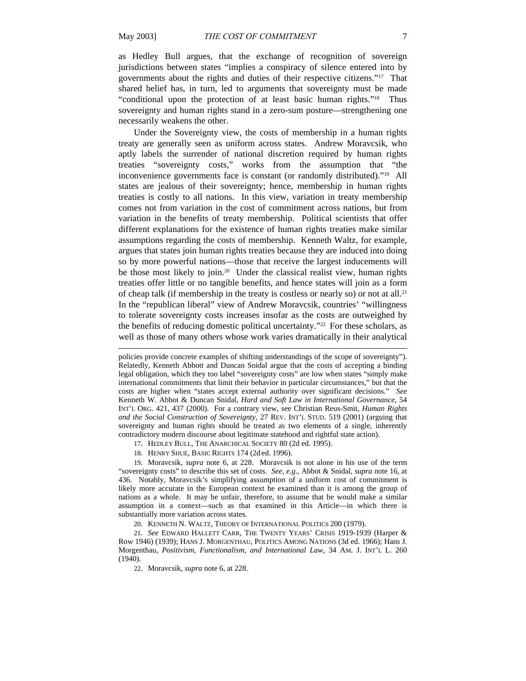as Hedley Bull argues, that the exchange of recognition of sovereign jurisdictions between states "implies a conspiracy of silence entered into by governments about the rights and duties of their respective citizens."17 That shared belief has, in turn, led to arguments that sovereignty must be made "conditional upon the protection of at least basic human rights."18 Thus sovereignty and human rights stand in a zero-sum posture—strengthening one necessarily weakens the other.

Under the Sovereignty view, the costs of membership in a human rights treaty are generally seen as uniform across states. Andrew Moravcsik, who aptly labels the surrender of national discretion required by human rights treaties "sovereignty costs," works from the assumption that "the inconvenience governments face is constant (or randomly distributed)."19 All states are jealous of their sovereignty; hence, membership in human rights treaties is costly to all nations. In this view, variation in treaty membership comes not from variation in the cost of commitment across nations, but from variation in the benefits of treaty membership. Political scientists that offer different explanations for the existence of human rights treaties make similar assumptions regarding the costs of membership. Kenneth Waltz, for example, argues that states join human rights treaties because they are induced into doing so by more powerful nations—those that receive the largest inducements will be those most likely to join.<sup>20</sup> Under the classical realist view, human rights treaties offer little or no tangible benefits, and hence states will join as a form of cheap talk (if membership in the treaty is costless or nearly so) or not at all.21 In the "republican liberal" view of Andrew Moravcsik, countries' "willingness to tolerate sovereignty costs increases insofar as the costs are outweighed by the benefits of reducing domestic political uncertainty."<sup>22</sup> For these scholars, as well as those of many others whose work varies dramatically in their analytical

17. HEDLEY BULL, THE ANARCHICAL SOCIETY 80 (2d ed. 1995).

18. HENRY SHUE, BASIC RIGHTS 174 (2d ed. 1996).

19. Moravcsik, *supra* note 6, at 228. Moravcsik is not alone in his use of the term "sovereignty costs" to describe this set of costs. *See, e.g*., Abbot & Snidal, *supra* note 16, at 436. Notably, Moravcsik's simplifying assumption of a uniform cost of commitment is likely more accurate in the European context he examined than it is among the group of nations as a whole. It may be unfair, therefore, to assume that he would make a similar assumption in a context—such as that examined in this Article—in which there is substantially more variation across states.

20. KENNETH N. WALTZ, THEORY OF INTERNATIONAL POLITICS 200 (1979).

21*. See* EDWARD HALLETT CARR, THE TWENTY YEARS' CRISIS 1919-1939 (Harper & Row 1946) (1939); HANS J. MORGENTHAU, POLITICS AMONG NATIONS (3d ed. 1966); Hans J. Morgenthau, *Positivism, Functionalism, and International Law*, 34 AM. J. INT'L L. 260 (1940).

22. Moravcsik, *supra* note 6, at 228.

policies provide concrete examples of shifting understandings of the scope of sovereignty"). Relatedly, Kenneth Abbott and Duncan Snidal argue that the costs of accepting a binding legal obligation, which they too label "sovereignty costs" are low when states "simply make international commitments that limit their behavior in particular circumstances," but that the costs are higher when "states accept external authority over significant decisions." *See*  Kenneth W. Abbot & Duncan Snidal, *Hard and Soft Law in International Governance*, 54 INT'L ORG. 421, 437 (2000). For a contrary view, see Christian Reus-Smit, *Human Rights and the Social Construction of Sovereignty*, 27 REV. INT'L STUD. 519 (2001) (arguing that sovereignty and human rights should be treated as two elements of a single, inherently contradictory modern discourse about legitimate statehood and rightful state action).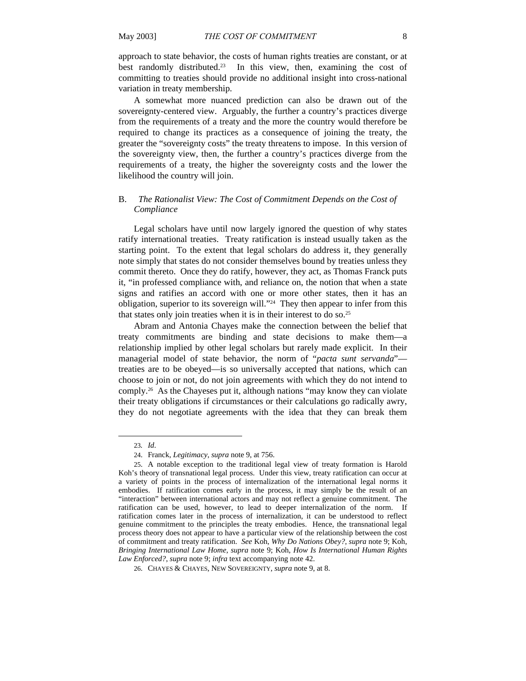approach to state behavior, the costs of human rights treaties are constant, or at best randomly distributed.23 In this view, then, examining the cost of committing to treaties should provide no additional insight into cross-national variation in treaty membership.

A somewhat more nuanced prediction can also be drawn out of the sovereignty-centered view. Arguably, the further a country's practices diverge from the requirements of a treaty and the more the country would therefore be required to change its practices as a consequence of joining the treaty, the greater the "sovereignty costs" the treaty threatens to impose. In this version of the sovereignty view, then, the further a country's practices diverge from the requirements of a treaty, the higher the sovereignty costs and the lower the likelihood the country will join.

# B. *The Rationalist View: The Cost of Commitment Depends on the Cost of Compliance*

Legal scholars have until now largely ignored the question of why states ratify international treaties. Treaty ratification is instead usually taken as the starting point. To the extent that legal scholars do address it, they generally note simply that states do not consider themselves bound by treaties unless they commit thereto. Once they do ratify, however, they act, as Thomas Franck puts it, "in professed compliance with, and reliance on, the notion that when a state signs and ratifies an accord with one or more other states, then it has an obligation, superior to its sovereign will."24 They then appear to infer from this that states only join treaties when it is in their interest to do so.25

Abram and Antonia Chayes make the connection between the belief that treaty commitments are binding and state decisions to make them—a relationship implied by other legal scholars but rarely made explicit. In their managerial model of state behavior, the norm of "*pacta sunt servanda*" treaties are to be obeyed—is so universally accepted that nations, which can choose to join or not, do not join agreements with which they do not intend to comply.26 As the Chayeses put it, although nations "may know they can violate their treaty obligations if circumstances or their calculations go radically awry, they do not negotiate agreements with the idea that they can break them

<sup>23</sup>*. Id*.

<sup>24.</sup> Franck, *Legitimacy*, *supra* note 9, at 756.

<sup>25.</sup> A notable exception to the traditional legal view of treaty formation is Harold Koh's theory of transnational legal process. Under this view, treaty ratification can occur at a variety of points in the process of internalization of the international legal norms it embodies. If ratification comes early in the process, it may simply be the result of an "interaction" between international actors and may not reflect a genuine commitment. The ratification can be used, however, to lead to deeper internalization of the norm. If ratification comes later in the process of internalization, it can be understood to reflect genuine commitment to the principles the treaty embodies. Hence, the transnational legal process theory does not appear to have a particular view of the relationship between the cost of commitment and treaty ratification. *See* Koh, *Why Do Nations Obey?*, *supra* note 9; Koh, *Bringing International Law Home*, *supra* note 9; Koh, *How Is International Human Rights Law Enforced?*, *supra* note 9; *infra* text accompanying note 42.

<sup>26.</sup> CHAYES & CHAYES, NEW SOVEREIGNTY, *supra* note 9, at 8.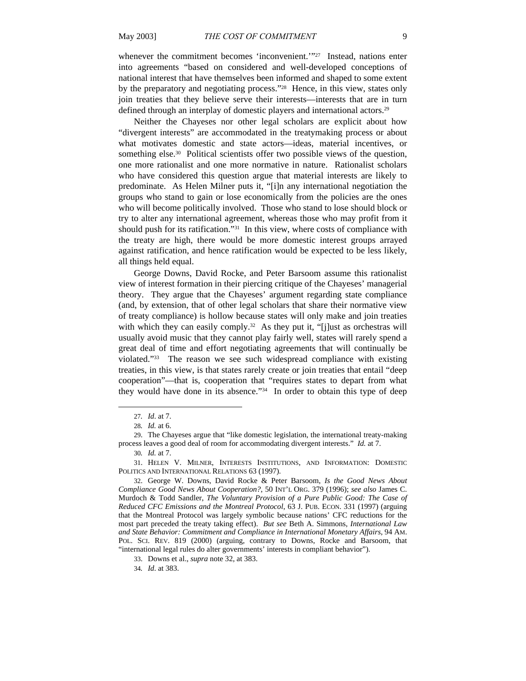whenever the commitment becomes 'inconvenient.'"<sup>27</sup> Instead, nations enter into agreements "based on considered and well-developed conceptions of national interest that have themselves been informed and shaped to some extent by the preparatory and negotiating process."28 Hence, in this view, states only join treaties that they believe serve their interests—interests that are in turn defined through an interplay of domestic players and international actors.29

Neither the Chayeses nor other legal scholars are explicit about how "divergent interests" are accommodated in the treatymaking process or about what motivates domestic and state actors—ideas, material incentives, or something else.<sup>30</sup> Political scientists offer two possible views of the question, one more rationalist and one more normative in nature. Rationalist scholars who have considered this question argue that material interests are likely to predominate. As Helen Milner puts it, "[i]n any international negotiation the groups who stand to gain or lose economically from the policies are the ones who will become politically involved. Those who stand to lose should block or try to alter any international agreement, whereas those who may profit from it should push for its ratification."31 In this view, where costs of compliance with the treaty are high, there would be more domestic interest groups arrayed against ratification, and hence ratification would be expected to be less likely, all things held equal.

George Downs, David Rocke, and Peter Barsoom assume this rationalist view of interest formation in their piercing critique of the Chayeses' managerial theory. They argue that the Chayeses' argument regarding state compliance (and, by extension, that of other legal scholars that share their normative view of treaty compliance) is hollow because states will only make and join treaties with which they can easily comply.<sup>32</sup> As they put it, "[j]ust as orchestras will usually avoid music that they cannot play fairly well, states will rarely spend a great deal of time and effort negotiating agreements that will continually be violated."33 The reason we see such widespread compliance with existing treaties, in this view, is that states rarely create or join treaties that entail "deep cooperation"—that is, cooperation that "requires states to depart from what they would have done in its absence."34 In order to obtain this type of deep

<sup>27</sup>*. Id*. at 7.

<sup>28</sup>*. Id.* at 6.

<sup>29.</sup> The Chayeses argue that "like domestic legislation, the international treaty-making process leaves a good deal of room for accommodating divergent interests." *Id.* at 7.

<sup>30</sup>*. Id.* at 7.

<sup>31.</sup> HELEN V. MILNER, INTERESTS INSTITUTIONS, AND INFORMATION: DOMESTIC POLITICS AND INTERNATIONAL RELATIONS 63 (1997).

<sup>32.</sup> George W. Downs, David Rocke & Peter Barsoom, *Is the Good News About Compliance Good News About Cooperation?*, 50 INT'L ORG. 379 (1996); *see also* James C. Murdoch & Todd Sandler, *The Voluntary Provision of a Pure Public Good: The Case of Reduced CFC Emissions and the Montreal Protocol*, 63 J. PUB. ECON. 331 (1997) (arguing that the Montreal Protocol was largely symbolic because nations' CFC reductions for the most part preceded the treaty taking effect). *But see* Beth A. Simmons, *International Law and State Behavior: Commitment and Compliance in International Monetary Affairs*, 94 AM. POL. SCI. REV. 819 (2000) (arguing, contrary to Downs, Rocke and Barsoom, that "international legal rules do alter governments' interests in compliant behavior").

<sup>33.</sup> Downs et al., *supra* note 32, at 383.

<sup>34</sup>*. Id*. at 383.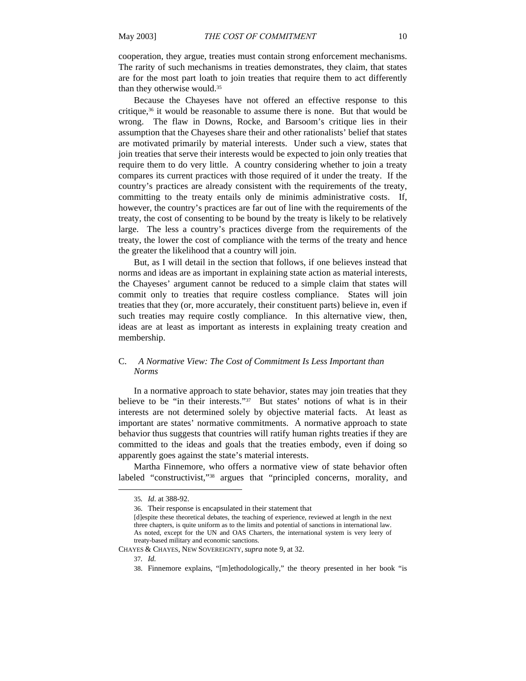cooperation, they argue, treaties must contain strong enforcement mechanisms. The rarity of such mechanisms in treaties demonstrates, they claim, that states are for the most part loath to join treaties that require them to act differently than they otherwise would.35

Because the Chayeses have not offered an effective response to this critique,36 it would be reasonable to assume there is none. But that would be wrong. The flaw in Downs, Rocke, and Barsoom's critique lies in their assumption that the Chayeses share their and other rationalists' belief that states are motivated primarily by material interests. Under such a view, states that join treaties that serve their interests would be expected to join only treaties that require them to do very little. A country considering whether to join a treaty compares its current practices with those required of it under the treaty. If the country's practices are already consistent with the requirements of the treaty, committing to the treaty entails only de minimis administrative costs. If, however, the country's practices are far out of line with the requirements of the treaty, the cost of consenting to be bound by the treaty is likely to be relatively large. The less a country's practices diverge from the requirements of the treaty, the lower the cost of compliance with the terms of the treaty and hence the greater the likelihood that a country will join.

But, as I will detail in the section that follows, if one believes instead that norms and ideas are as important in explaining state action as material interests, the Chayeses' argument cannot be reduced to a simple claim that states will commit only to treaties that require costless compliance. States will join treaties that they (or, more accurately, their constituent parts) believe in, even if such treaties may require costly compliance. In this alternative view, then, ideas are at least as important as interests in explaining treaty creation and membership.

# C. *A Normative View: The Cost of Commitment Is Less Important than Norms*

In a normative approach to state behavior, states may join treaties that they believe to be "in their interests."37 But states' notions of what is in their interests are not determined solely by objective material facts. At least as important are states' normative commitments. A normative approach to state behavior thus suggests that countries will ratify human rights treaties if they are committed to the ideas and goals that the treaties embody, even if doing so apparently goes against the state's material interests.

Martha Finnemore, who offers a normative view of state behavior often labeled "constructivist,"<sup>38</sup> argues that "principled concerns, morality, and

<sup>35</sup>*. Id*. at 388-92.

<sup>36.</sup> Their response is encapsulated in their statement that

<sup>[</sup>d]espite these theoretical debates, the teaching of experience, reviewed at length in the next three chapters, is quite uniform as to the limits and potential of sanctions in international law. As noted, except for the UN and OAS Charters, the international system is very leery of treaty-based military and economic sanctions.

CHAYES & CHAYES, NEW SOVEREIGNTY,*supra* note 9, at 32.

<sup>37</sup>*. Id.*

<sup>38.</sup> Finnemore explains, "[m]ethodologically," the theory presented in her book "is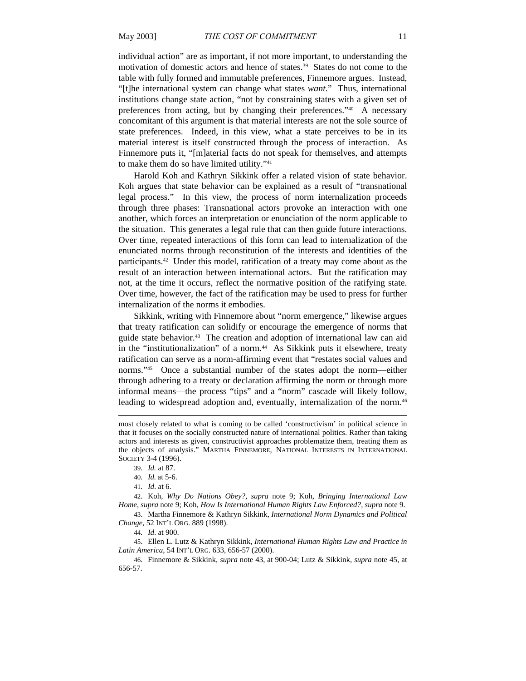individual action" are as important, if not more important, to understanding the motivation of domestic actors and hence of states.39 States do not come to the table with fully formed and immutable preferences, Finnemore argues. Instead, "[t]he international system can change what states *want*." Thus, international institutions change state action, "not by constraining states with a given set of preferences from acting, but by changing their preferences."40 A necessary concomitant of this argument is that material interests are not the sole source of state preferences. Indeed, in this view, what a state perceives to be in its material interest is itself constructed through the process of interaction. As Finnemore puts it, "[m]aterial facts do not speak for themselves, and attempts to make them do so have limited utility."41

Harold Koh and Kathryn Sikkink offer a related vision of state behavior. Koh argues that state behavior can be explained as a result of "transnational legal process." In this view, the process of norm internalization proceeds through three phases: Transnational actors provoke an interaction with one another, which forces an interpretation or enunciation of the norm applicable to the situation. This generates a legal rule that can then guide future interactions. Over time, repeated interactions of this form can lead to internalization of the enunciated norms through reconstitution of the interests and identities of the participants.42 Under this model, ratification of a treaty may come about as the result of an interaction between international actors. But the ratification may not, at the time it occurs, reflect the normative position of the ratifying state. Over time, however, the fact of the ratification may be used to press for further internalization of the norms it embodies.

Sikkink, writing with Finnemore about "norm emergence," likewise argues that treaty ratification can solidify or encourage the emergence of norms that guide state behavior.43 The creation and adoption of international law can aid in the "institutionalization" of a norm.<sup>44</sup> As Sikkink puts it elsewhere, treaty ratification can serve as a norm-affirming event that "restates social values and norms."45 Once a substantial number of the states adopt the norm—either through adhering to a treaty or declaration affirming the norm or through more informal means—the process "tips" and a "norm" cascade will likely follow, leading to widespread adoption and, eventually, internalization of the norm.46

 $\overline{\phantom{a}}$ 

43. Martha Finnemore & Kathryn Sikkink, *International Norm Dynamics and Political Change*, 52 INT'L ORG. 889 (1998).

45. Ellen L. Lutz & Kathryn Sikkink, *International Human Rights Law and Practice in Latin America*, 54 INT'L ORG. 633, 656-57 (2000).

46. Finnemore & Sikkink, *supra* note 43, at 900-04; Lutz & Sikkink, *supra* note 45, at 656-57.

most closely related to what is coming to be called 'constructivism' in political science in that it focuses on the socially constructed nature of international politics. Rather than taking actors and interests as given, constructivist approaches problematize them, treating them as the objects of analysis." MARTHA FINNEMORE, NATIONAL INTERESTS IN INTERNATIONAL SOCIETY 3-4 (1996).

<sup>39</sup>*. Id.* at 87.

<sup>40</sup>*. Id.* at 5-6.

<sup>41</sup>*. Id*. at 6.

<sup>42.</sup> Koh, *Why Do Nations Obey?*, *supra* note 9; Koh, *Bringing International Law Home*, *supra* note 9; Koh, *How Is International Human Rights Law Enforced?*, *supra* note 9.

<sup>44</sup>*. Id*. at 900.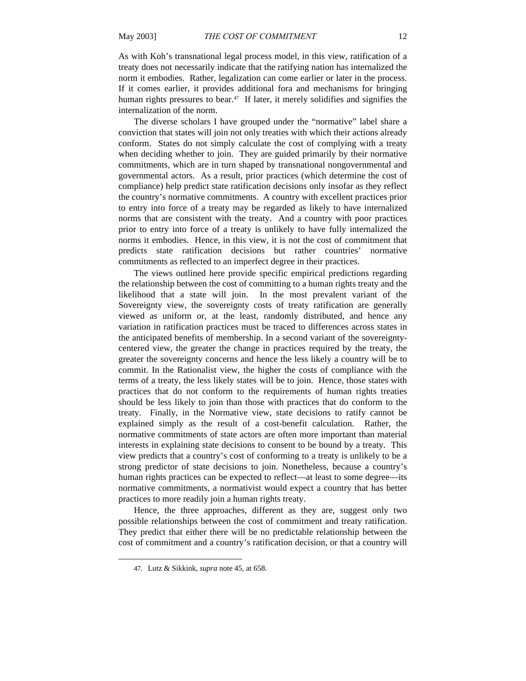As with Koh's transnational legal process model, in this view, ratification of a treaty does not necessarily indicate that the ratifying nation has internalized the norm it embodies. Rather, legalization can come earlier or later in the process. If it comes earlier, it provides additional fora and mechanisms for bringing human rights pressures to bear.<sup>47</sup> If later, it merely solidifies and signifies the internalization of the norm.

The diverse scholars I have grouped under the "normative" label share a conviction that states will join not only treaties with which their actions already conform. States do not simply calculate the cost of complying with a treaty when deciding whether to join. They are guided primarily by their normative commitments, which are in turn shaped by transnational nongovernmental and governmental actors. As a result, prior practices (which determine the cost of compliance) help predict state ratification decisions only insofar as they reflect the country's normative commitments. A country with excellent practices prior to entry into force of a treaty may be regarded as likely to have internalized norms that are consistent with the treaty. And a country with poor practices prior to entry into force of a treaty is unlikely to have fully internalized the norms it embodies. Hence, in this view, it is not the cost of commitment that predicts state ratification decisions but rather countries' normative commitments as reflected to an imperfect degree in their practices.

The views outlined here provide specific empirical predictions regarding the relationship between the cost of committing to a human rights treaty and the likelihood that a state will join. In the most prevalent variant of the Sovereignty view, the sovereignty costs of treaty ratification are generally viewed as uniform or, at the least, randomly distributed, and hence any variation in ratification practices must be traced to differences across states in the anticipated benefits of membership. In a second variant of the sovereigntycentered view, the greater the change in practices required by the treaty, the greater the sovereignty concerns and hence the less likely a country will be to commit. In the Rationalist view, the higher the costs of compliance with the terms of a treaty, the less likely states will be to join. Hence, those states with practices that do not conform to the requirements of human rights treaties should be less likely to join than those with practices that do conform to the treaty. Finally, in the Normative view, state decisions to ratify cannot be explained simply as the result of a cost-benefit calculation. Rather, the normative commitments of state actors are often more important than material interests in explaining state decisions to consent to be bound by a treaty. This view predicts that a country's cost of conforming to a treaty is unlikely to be a strong predictor of state decisions to join. Nonetheless, because a country's human rights practices can be expected to reflect—at least to some degree—its normative commitments, a normativist would expect a country that has better practices to more readily join a human rights treaty.

Hence, the three approaches, different as they are, suggest only two possible relationships between the cost of commitment and treaty ratification. They predict that either there will be no predictable relationship between the cost of commitment and a country's ratification decision, or that a country will

<sup>47.</sup> Lutz & Sikkink, *supra* note 45, at 658.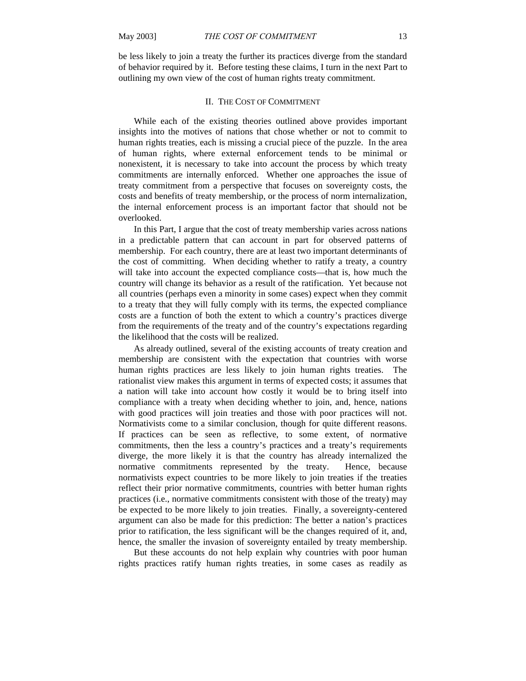be less likely to join a treaty the further its practices diverge from the standard of behavior required by it. Before testing these claims, I turn in the next Part to outlining my own view of the cost of human rights treaty commitment.

#### II. THE COST OF COMMITMENT

While each of the existing theories outlined above provides important insights into the motives of nations that chose whether or not to commit to human rights treaties, each is missing a crucial piece of the puzzle. In the area of human rights, where external enforcement tends to be minimal or nonexistent, it is necessary to take into account the process by which treaty commitments are internally enforced. Whether one approaches the issue of treaty commitment from a perspective that focuses on sovereignty costs, the costs and benefits of treaty membership, or the process of norm internalization, the internal enforcement process is an important factor that should not be overlooked.

In this Part, I argue that the cost of treaty membership varies across nations in a predictable pattern that can account in part for observed patterns of membership. For each country, there are at least two important determinants of the cost of committing. When deciding whether to ratify a treaty, a country will take into account the expected compliance costs—that is, how much the country will change its behavior as a result of the ratification. Yet because not all countries (perhaps even a minority in some cases) expect when they commit to a treaty that they will fully comply with its terms, the expected compliance costs are a function of both the extent to which a country's practices diverge from the requirements of the treaty and of the country's expectations regarding the likelihood that the costs will be realized.

 As already outlined, several of the existing accounts of treaty creation and membership are consistent with the expectation that countries with worse human rights practices are less likely to join human rights treaties. The rationalist view makes this argument in terms of expected costs; it assumes that a nation will take into account how costly it would be to bring itself into compliance with a treaty when deciding whether to join, and, hence, nations with good practices will join treaties and those with poor practices will not. Normativists come to a similar conclusion, though for quite different reasons. If practices can be seen as reflective, to some extent, of normative commitments, then the less a country's practices and a treaty's requirements diverge, the more likely it is that the country has already internalized the normative commitments represented by the treaty. Hence, because normativists expect countries to be more likely to join treaties if the treaties reflect their prior normative commitments, countries with better human rights practices (i.e., normative commitments consistent with those of the treaty) may be expected to be more likely to join treaties. Finally, a sovereignty-centered argument can also be made for this prediction: The better a nation's practices prior to ratification, the less significant will be the changes required of it, and, hence, the smaller the invasion of sovereignty entailed by treaty membership.

 But these accounts do not help explain why countries with poor human rights practices ratify human rights treaties, in some cases as readily as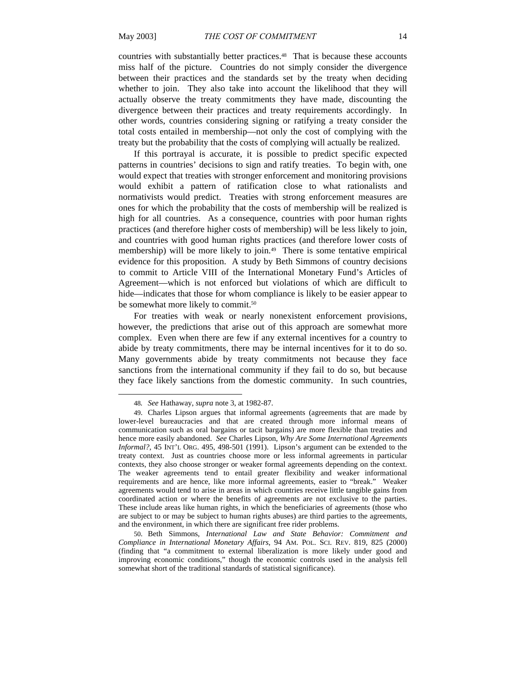countries with substantially better practices.<sup>48</sup> That is because these accounts miss half of the picture. Countries do not simply consider the divergence between their practices and the standards set by the treaty when deciding whether to join. They also take into account the likelihood that they will actually observe the treaty commitments they have made, discounting the divergence between their practices and treaty requirements accordingly. In other words, countries considering signing or ratifying a treaty consider the total costs entailed in membership—not only the cost of complying with the treaty but the probability that the costs of complying will actually be realized.

If this portrayal is accurate, it is possible to predict specific expected patterns in countries' decisions to sign and ratify treaties. To begin with, one would expect that treaties with stronger enforcement and monitoring provisions would exhibit a pattern of ratification close to what rationalists and normativists would predict. Treaties with strong enforcement measures are ones for which the probability that the costs of membership will be realized is high for all countries. As a consequence, countries with poor human rights practices (and therefore higher costs of membership) will be less likely to join, and countries with good human rights practices (and therefore lower costs of membership) will be more likely to join.<sup>49</sup> There is some tentative empirical evidence for this proposition. A study by Beth Simmons of country decisions to commit to Article VIII of the International Monetary Fund's Articles of Agreement—which is not enforced but violations of which are difficult to hide—indicates that those for whom compliance is likely to be easier appear to be somewhat more likely to commit.<sup>50</sup>

For treaties with weak or nearly nonexistent enforcement provisions, however, the predictions that arise out of this approach are somewhat more complex. Even when there are few if any external incentives for a country to abide by treaty commitments, there may be internal incentives for it to do so. Many governments abide by treaty commitments not because they face sanctions from the international community if they fail to do so, but because they face likely sanctions from the domestic community. In such countries,

<sup>48</sup>*. See* Hathaway, *supra* note 3, at 1982-87.

<sup>49.</sup> Charles Lipson argues that informal agreements (agreements that are made by lower-level bureaucracies and that are created through more informal means of communication such as oral bargains or tacit bargains) are more flexible than treaties and hence more easily abandoned. *See* Charles Lipson, *Why Are Some International Agreements Informal?*, 45 INT'L ORG. 495, 498-501 (1991). Lipson's argument can be extended to the treaty context. Just as countries choose more or less informal agreements in particular contexts, they also choose stronger or weaker formal agreements depending on the context. The weaker agreements tend to entail greater flexibility and weaker informational requirements and are hence, like more informal agreements, easier to "break." Weaker agreements would tend to arise in areas in which countries receive little tangible gains from coordinated action or where the benefits of agreements are not exclusive to the parties. These include areas like human rights, in which the beneficiaries of agreements (those who are subject to or may be subject to human rights abuses) are third parties to the agreements, and the environment, in which there are significant free rider problems.

<sup>50.</sup> Beth Simmons, *International Law and State Behavior: Commitment and Compliance in International Monetary Affairs*, 94 AM. POL. SCI. REV. 819, 825 (2000) (finding that "a commitment to external liberalization is more likely under good and improving economic conditions," though the economic controls used in the analysis fell somewhat short of the traditional standards of statistical significance).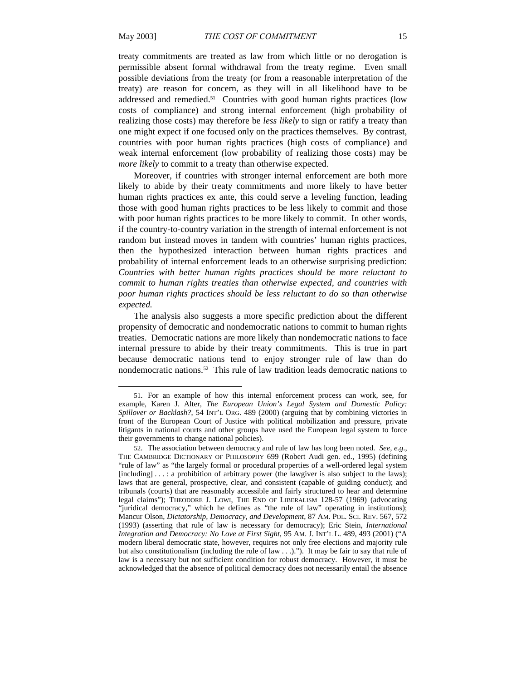treaty commitments are treated as law from which little or no derogation is permissible absent formal withdrawal from the treaty regime. Even small possible deviations from the treaty (or from a reasonable interpretation of the treaty) are reason for concern, as they will in all likelihood have to be addressed and remedied.<sup>51</sup> Countries with good human rights practices (low costs of compliance) and strong internal enforcement (high probability of realizing those costs) may therefore be *less likely* to sign or ratify a treaty than one might expect if one focused only on the practices themselves. By contrast, countries with poor human rights practices (high costs of compliance) and weak internal enforcement (low probability of realizing those costs) may be *more likely* to commit to a treaty than otherwise expected.

Moreover, if countries with stronger internal enforcement are both more likely to abide by their treaty commitments and more likely to have better human rights practices ex ante, this could serve a leveling function, leading those with good human rights practices to be less likely to commit and those with poor human rights practices to be more likely to commit. In other words, if the country-to-country variation in the strength of internal enforcement is not random but instead moves in tandem with countries' human rights practices, then the hypothesized interaction between human rights practices and probability of internal enforcement leads to an otherwise surprising prediction: *Countries with better human rights practices should be more reluctant to commit to human rights treaties than otherwise expected, and countries with poor human rights practices should be less reluctant to do so than otherwise expected.*

The analysis also suggests a more specific prediction about the different propensity of democratic and nondemocratic nations to commit to human rights treaties. Democratic nations are more likely than nondemocratic nations to face internal pressure to abide by their treaty commitments. This is true in part because democratic nations tend to enjoy stronger rule of law than do nondemocratic nations.52 This rule of law tradition leads democratic nations to

<sup>51.</sup> For an example of how this internal enforcement process can work, see, for example, Karen J. Alter, *The European Union's Legal System and Domestic Policy: Spillover or Backlash?*, 54 INT'L ORG. 489 (2000) (arguing that by combining victories in front of the European Court of Justice with political mobilization and pressure, private litigants in national courts and other groups have used the European legal system to force their governments to change national policies).

<sup>52.</sup> The association between democracy and rule of law has long been noted. *See, e.g*., THE CAMBRIDGE DICTIONARY OF PHILOSOPHY 699 (Robert Audi gen. ed., 1995) (defining "rule of law" as "the largely formal or procedural properties of a well-ordered legal system [including] . . . : a prohibition of arbitrary power (the lawgiver is also subject to the laws); laws that are general, prospective, clear, and consistent (capable of guiding conduct); and tribunals (courts) that are reasonably accessible and fairly structured to hear and determine legal claims"); THEODORE J. LOWI, THE END OF LIBERALISM 128-57 (1969) (advocating "juridical democracy," which he defines as "the rule of law" operating in institutions); Mancur Olson, *Dictatorship, Democracy, and Development*, 87 AM. POL. SCI. REV. 567, 572 (1993) (asserting that rule of law is necessary for democracy); Eric Stein, *International Integration and Democracy: No Love at First Sight*, 95 AM. J. INT'L L. 489, 493 (2001) ("A modern liberal democratic state, however, requires not only free elections and majority rule but also constitutionalism (including the rule of law  $\dots$ )."). It may be fair to say that rule of law is a necessary but not sufficient condition for robust democracy. However, it must be acknowledged that the absence of political democracy does not necessarily entail the absence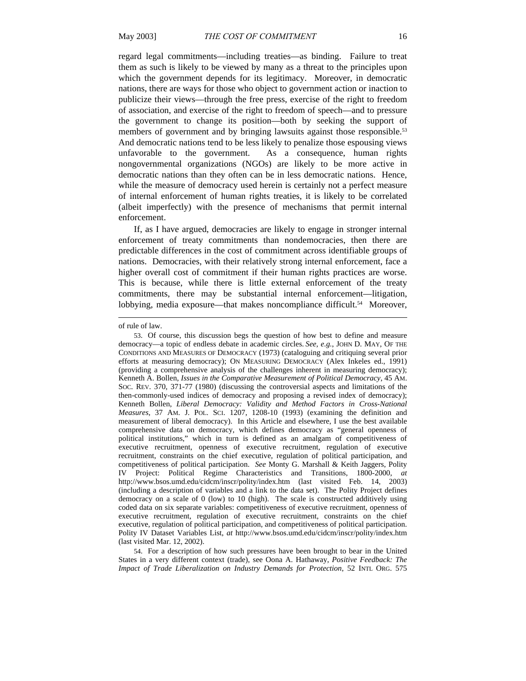regard legal commitments—including treaties—as binding. Failure to treat them as such is likely to be viewed by many as a threat to the principles upon which the government depends for its legitimacy. Moreover, in democratic nations, there are ways for those who object to government action or inaction to publicize their views—through the free press, exercise of the right to freedom of association, and exercise of the right to freedom of speech—and to pressure the government to change its position—both by seeking the support of members of government and by bringing lawsuits against those responsible.<sup>53</sup> And democratic nations tend to be less likely to penalize those espousing views unfavorable to the government. As a consequence, human rights nongovernmental organizations (NGOs) are likely to be more active in democratic nations than they often can be in less democratic nations. Hence, while the measure of democracy used herein is certainly not a perfect measure of internal enforcement of human rights treaties, it is likely to be correlated (albeit imperfectly) with the presence of mechanisms that permit internal enforcement.

If, as I have argued, democracies are likely to engage in stronger internal enforcement of treaty commitments than nondemocracies, then there are predictable differences in the cost of commitment across identifiable groups of nations. Democracies, with their relatively strong internal enforcement, face a higher overall cost of commitment if their human rights practices are worse. This is because, while there is little external enforcement of the treaty commitments, there may be substantial internal enforcement—litigation, lobbying, media exposure—that makes noncompliance difficult.<sup>54</sup> Moreover,

 $\overline{\phantom{a}}$ 

54. For a description of how such pressures have been brought to bear in the United States in a very different context (trade), see Oona A. Hathaway, *Positive Feedback: The Impact of Trade Liberalization on Industry Demands for Protection*, 52 INTL ORG. 575

of rule of law.

<sup>53.</sup> Of course, this discussion begs the question of how best to define and measure democracy—a topic of endless debate in academic circles. *See, e.g.*, JOHN D. MAY, OF THE CONDITIONS AND MEASURES OF DEMOCRACY (1973) (cataloguing and critiquing several prior efforts at measuring democracy); ON MEASURING DEMOCRACY (Alex Inkeles ed., 1991) (providing a comprehensive analysis of the challenges inherent in measuring democracy); Kenneth A. Bollen, *Issues in the Comparative Measurement of Political Democracy*, 45 AM. SOC. REV. 370, 371-77 (1980) (discussing the controversial aspects and limitations of the then-commonly-used indices of democracy and proposing a revised index of democracy); Kenneth Bollen, *Liberal Democracy: Validity and Method Factors in Cross-National Measures*, 37 AM. J. POL. SCI. 1207, 1208-10 (1993) (examining the definition and measurement of liberal democracy). In this Article and elsewhere, I use the best available comprehensive data on democracy, which defines democracy as "general openness of political institutions," which in turn is defined as an amalgam of competitiveness of executive recruitment, openness of executive recruitment, regulation of executive recruitment, constraints on the chief executive, regulation of political participation, and competitiveness of political participation. *See* Monty G. Marshall & Keith Jaggers, Polity IV Project: Political Regime Characteristics and Transitions, 1800-2000, *at* http://www.bsos.umd.edu/cidcm/inscr/polity/index.htm (last visited Feb. 14, 2003) (including a description of variables and a link to the data set). The Polity Project defines democracy on a scale of 0 (low) to 10 (high). The scale is constructed additively using coded data on six separate variables: competitiveness of executive recruitment, openness of executive recruitment, regulation of executive recruitment, constraints on the chief executive, regulation of political participation, and competitiveness of political participation. Polity IV Dataset Variables List, *at* http://www.bsos.umd.edu/cidcm/inscr/polity/index.htm (last visited Mar. 12, 2002).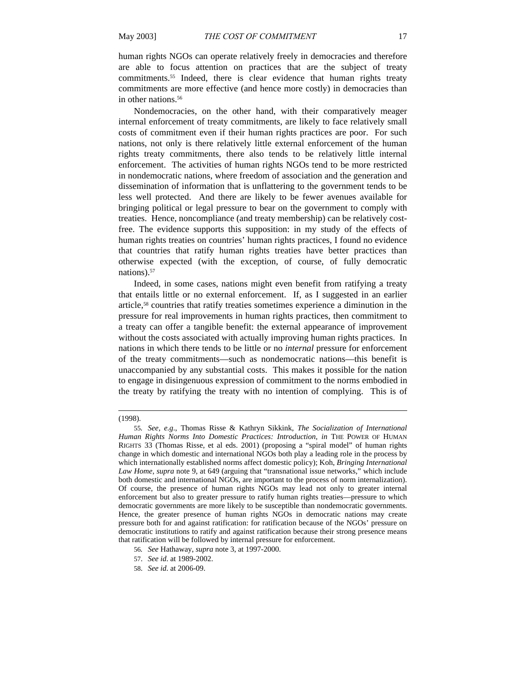human rights NGOs can operate relatively freely in democracies and therefore are able to focus attention on practices that are the subject of treaty commitments.55 Indeed, there is clear evidence that human rights treaty commitments are more effective (and hence more costly) in democracies than in other nations.<sup>56</sup>

Nondemocracies, on the other hand, with their comparatively meager internal enforcement of treaty commitments, are likely to face relatively small costs of commitment even if their human rights practices are poor. For such nations, not only is there relatively little external enforcement of the human rights treaty commitments, there also tends to be relatively little internal enforcement. The activities of human rights NGOs tend to be more restricted in nondemocratic nations, where freedom of association and the generation and dissemination of information that is unflattering to the government tends to be less well protected. And there are likely to be fewer avenues available for bringing political or legal pressure to bear on the government to comply with treaties. Hence, noncompliance (and treaty membership) can be relatively costfree. The evidence supports this supposition: in my study of the effects of human rights treaties on countries' human rights practices, I found no evidence that countries that ratify human rights treaties have better practices than otherwise expected (with the exception, of course, of fully democratic nations).57

Indeed, in some cases, nations might even benefit from ratifying a treaty that entails little or no external enforcement. If, as I suggested in an earlier article,58 countries that ratify treaties sometimes experience a diminution in the pressure for real improvements in human rights practices, then commitment to a treaty can offer a tangible benefit: the external appearance of improvement without the costs associated with actually improving human rights practices. In nations in which there tends to be little or no *internal* pressure for enforcement of the treaty commitments—such as nondemocratic nations—this benefit is unaccompanied by any substantial costs. This makes it possible for the nation to engage in disingenuous expression of commitment to the norms embodied in the treaty by ratifying the treaty with no intention of complying. This is of

- 57. *See id.* at 1989-2002.
- 58. *See id.* at 2006-09.

<sup>(1998).</sup> 

<sup>55</sup>*. See, e.g*., Thomas Risse & Kathryn Sikkink, *The Socialization of International Human Rights Norms Into Domestic Practices: Introduction*, *in* THE POWER OF HUMAN RIGHTS 33 (Thomas Risse, et al eds. 2001) (proposing a "spiral model" of human rights change in which domestic and international NGOs both play a leading role in the process by which internationally established norms affect domestic policy); Koh, *Bringing International Law Home*, *supra* note 9, at 649 (arguing that "transnational issue networks," which include both domestic and international NGOs, are important to the process of norm internalization). Of course, the presence of human rights NGOs may lead not only to greater internal enforcement but also to greater pressure to ratify human rights treaties—pressure to which democratic governments are more likely to be susceptible than nondemocratic governments. Hence, the greater presence of human rights NGOs in democratic nations may create pressure both for and against ratification: for ratification because of the NGOs' pressure on democratic institutions to ratify and against ratification because their strong presence means that ratification will be followed by internal pressure for enforcement.

<sup>56</sup>*. See* Hathaway, *supra* note 3, at 1997-2000.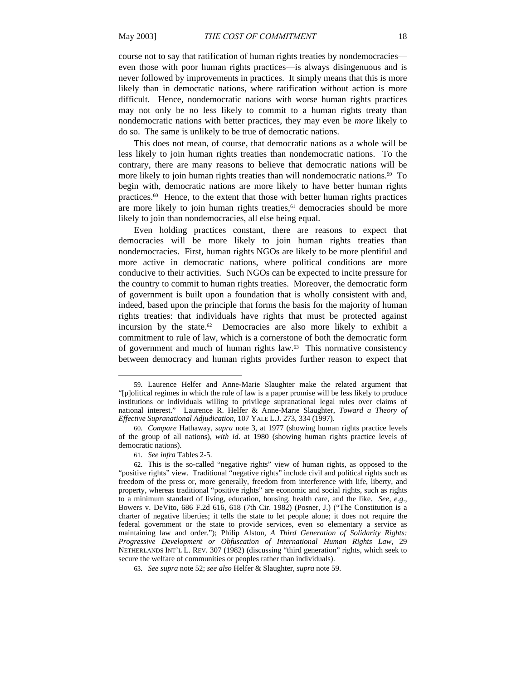course not to say that ratification of human rights treaties by nondemocracies even those with poor human rights practices—is always disingenuous and is never followed by improvements in practices. It simply means that this is more likely than in democratic nations, where ratification without action is more difficult. Hence, nondemocratic nations with worse human rights practices may not only be no less likely to commit to a human rights treaty than nondemocratic nations with better practices, they may even be *more* likely to do so. The same is unlikely to be true of democratic nations.

This does not mean, of course, that democratic nations as a whole will be less likely to join human rights treaties than nondemocratic nations. To the contrary, there are many reasons to believe that democratic nations will be more likely to join human rights treaties than will nondemocratic nations.<sup>59</sup> To begin with, democratic nations are more likely to have better human rights practices.60 Hence, to the extent that those with better human rights practices are more likely to join human rights treaties,<sup>61</sup> democracies should be more likely to join than nondemocracies, all else being equal.

Even holding practices constant, there are reasons to expect that democracies will be more likely to join human rights treaties than nondemocracies. First, human rights NGOs are likely to be more plentiful and more active in democratic nations, where political conditions are more conducive to their activities. Such NGOs can be expected to incite pressure for the country to commit to human rights treaties. Moreover, the democratic form of government is built upon a foundation that is wholly consistent with and, indeed, based upon the principle that forms the basis for the majority of human rights treaties: that individuals have rights that must be protected against incursion by the state.<sup>62</sup> Democracies are also more likely to exhibit a commitment to rule of law, which is a cornerstone of both the democratic form of government and much of human rights law.63 This normative consistency between democracy and human rights provides further reason to expect that

l

<sup>59.</sup> Laurence Helfer and Anne-Marie Slaughter make the related argument that "[p]olitical regimes in which the rule of law is a paper promise will be less likely to produce institutions or individuals willing to privilege supranational legal rules over claims of national interest." Laurence R. Helfer & Anne-Marie Slaughter, *Toward a Theory of Effective Supranational Adjudication*, 107 YALE L.J. 273, 334 (1997).

<sup>60</sup>*. Compare* Hathaway, *supra* note 3, at 1977 (showing human rights practice levels of the group of all nations), *with id*. at 1980 (showing human rights practice levels of democratic nations).

<sup>61</sup>*. See infra* Tables 2-5.

<sup>62.</sup> This is the so-called "negative rights" view of human rights, as opposed to the "positive rights" view. Traditional "negative rights" include civil and political rights such as freedom of the press or, more generally, freedom from interference with life, liberty, and property, whereas traditional "positive rights" are economic and social rights, such as rights to a minimum standard of living, education, housing, health care, and the like. *See, e.g*., Bowers v. DeVito, 686 F.2d 616, 618 (7th Cir. 1982) (Posner, J.) ("The Constitution is a charter of negative liberties; it tells the state to let people alone; it does not require the federal government or the state to provide services, even so elementary a service as maintaining law and order."); Philip Alston, *A Third Generation of Solidarity Rights: Progressive Development or Obfuscation of International Human Rights Law*, 29 NETHERLANDS INT'L L. REV. 307 (1982) (discussing "third generation" rights, which seek to secure the welfare of communities or peoples rather than individuals).

<sup>63</sup>*. See supra* note 52; *see also* Helfer & Slaughter, *supra* note 59.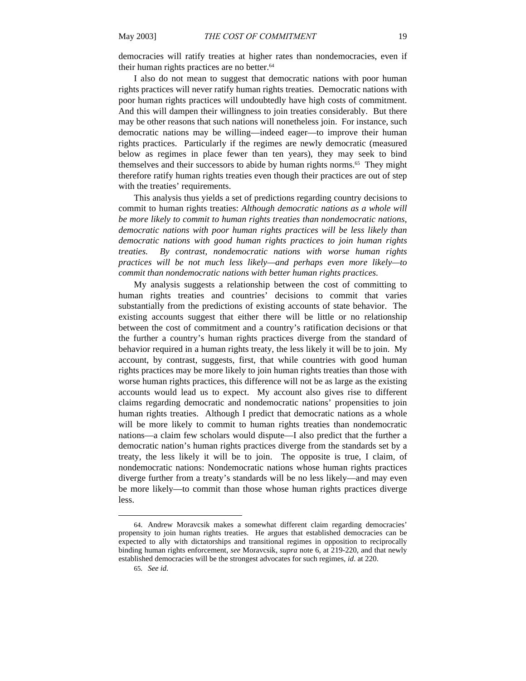democracies will ratify treaties at higher rates than nondemocracies, even if their human rights practices are no better.<sup>64</sup>

I also do not mean to suggest that democratic nations with poor human rights practices will never ratify human rights treaties. Democratic nations with poor human rights practices will undoubtedly have high costs of commitment. And this will dampen their willingness to join treaties considerably. But there may be other reasons that such nations will nonetheless join. For instance, such democratic nations may be willing—indeed eager—to improve their human rights practices. Particularly if the regimes are newly democratic (measured below as regimes in place fewer than ten years), they may seek to bind themselves and their successors to abide by human rights norms.<sup>65</sup> They might therefore ratify human rights treaties even though their practices are out of step with the treaties' requirements.

This analysis thus yields a set of predictions regarding country decisions to commit to human rights treaties: *Although democratic nations as a whole will be more likely to commit to human rights treaties than nondemocratic nations, democratic nations with poor human rights practices will be less likely than democratic nations with good human rights practices to join human rights treaties. By contrast, nondemocratic nations with worse human rights practices will be not much less likely—and perhaps even more likely—to commit than nondemocratic nations with better human rights practices.*

My analysis suggests a relationship between the cost of committing to human rights treaties and countries' decisions to commit that varies substantially from the predictions of existing accounts of state behavior. The existing accounts suggest that either there will be little or no relationship between the cost of commitment and a country's ratification decisions or that the further a country's human rights practices diverge from the standard of behavior required in a human rights treaty, the less likely it will be to join. My account, by contrast, suggests, first, that while countries with good human rights practices may be more likely to join human rights treaties than those with worse human rights practices, this difference will not be as large as the existing accounts would lead us to expect. My account also gives rise to different claims regarding democratic and nondemocratic nations' propensities to join human rights treaties. Although I predict that democratic nations as a whole will be more likely to commit to human rights treaties than nondemocratic nations—a claim few scholars would dispute—I also predict that the further a democratic nation's human rights practices diverge from the standards set by a treaty, the less likely it will be to join. The opposite is true, I claim, of nondemocratic nations: Nondemocratic nations whose human rights practices diverge further from a treaty's standards will be no less likely—and may even be more likely—to commit than those whose human rights practices diverge less.

<sup>64.</sup> Andrew Moravcsik makes a somewhat different claim regarding democracies' propensity to join human rights treaties. He argues that established democracies can be expected to ally with dictatorships and transitional regimes in opposition to reciprocally binding human rights enforcement, *see* Moravcsik, *supra* note 6, at 219-220, and that newly established democracies will be the strongest advocates for such regimes, *id*. at 220.

<sup>65</sup>*. See id.*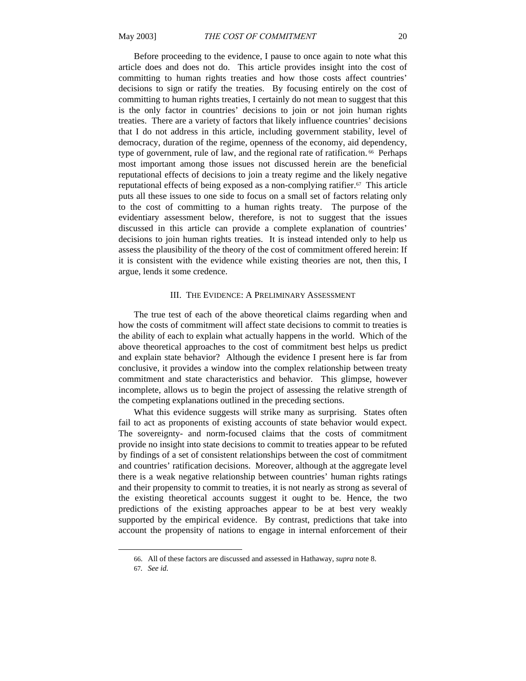Before proceeding to the evidence, I pause to once again to note what this article does and does not do. This article provides insight into the cost of committing to human rights treaties and how those costs affect countries' decisions to sign or ratify the treaties. By focusing entirely on the cost of committing to human rights treaties, I certainly do not mean to suggest that this is the only factor in countries' decisions to join or not join human rights treaties. There are a variety of factors that likely influence countries' decisions that I do not address in this article, including government stability, level of democracy, duration of the regime, openness of the economy, aid dependency, type of government, rule of law, and the regional rate of ratification. 66 Perhaps most important among those issues not discussed herein are the beneficial reputational effects of decisions to join a treaty regime and the likely negative reputational effects of being exposed as a non-complying ratifier.67 This article puts all these issues to one side to focus on a small set of factors relating only to the cost of committing to a human rights treaty. The purpose of the evidentiary assessment below, therefore, is not to suggest that the issues discussed in this article can provide a complete explanation of countries' decisions to join human rights treaties. It is instead intended only to help us assess the plausibility of the theory of the cost of commitment offered herein: If it is consistent with the evidence while existing theories are not, then this, I argue, lends it some credence.

#### III. THE EVIDENCE: A PRELIMINARY ASSESSMENT

The true test of each of the above theoretical claims regarding when and how the costs of commitment will affect state decisions to commit to treaties is the ability of each to explain what actually happens in the world. Which of the above theoretical approaches to the cost of commitment best helps us predict and explain state behavior? Although the evidence I present here is far from conclusive, it provides a window into the complex relationship between treaty commitment and state characteristics and behavior. This glimpse, however incomplete, allows us to begin the project of assessing the relative strength of the competing explanations outlined in the preceding sections.

What this evidence suggests will strike many as surprising. States often fail to act as proponents of existing accounts of state behavior would expect. The sovereignty- and norm-focused claims that the costs of commitment provide no insight into state decisions to commit to treaties appear to be refuted by findings of a set of consistent relationships between the cost of commitment and countries' ratification decisions. Moreover, although at the aggregate level there is a weak negative relationship between countries' human rights ratings and their propensity to commit to treaties, it is not nearly as strong as several of the existing theoretical accounts suggest it ought to be. Hence, the two predictions of the existing approaches appear to be at best very weakly supported by the empirical evidence. By contrast, predictions that take into account the propensity of nations to engage in internal enforcement of their

<sup>66.</sup> All of these factors are discussed and assessed in Hathaway, *supra* note 8.

<sup>67</sup>*. See id.*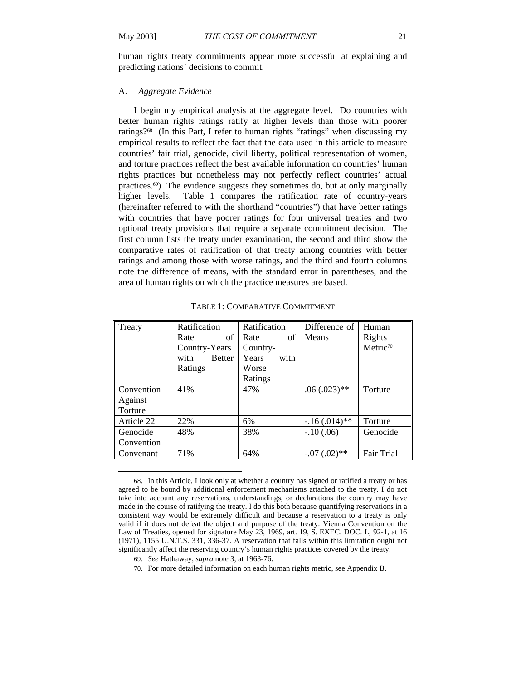human rights treaty commitments appear more successful at explaining and predicting nations' decisions to commit.

### A. *Aggregate Evidence*

I begin my empirical analysis at the aggregate level. Do countries with better human rights ratings ratify at higher levels than those with poorer ratings?68 (In this Part, I refer to human rights "ratings" when discussing my empirical results to reflect the fact that the data used in this article to measure countries' fair trial, genocide, civil liberty, political representation of women, and torture practices reflect the best available information on countries' human rights practices but nonetheless may not perfectly reflect countries' actual practices.69) The evidence suggests they sometimes do, but at only marginally higher levels. Table 1 compares the ratification rate of country-years (hereinafter referred to with the shorthand "countries") that have better ratings with countries that have poorer ratings for four universal treaties and two optional treaty provisions that require a separate commitment decision. The first column lists the treaty under examination, the second and third show the comparative rates of ratification of that treaty among countries with better ratings and among those with worse ratings, and the third and fourth columns note the difference of means, with the standard error in parentheses, and the area of human rights on which the practice measures are based.

| Treaty     | Ratification          | Ratification  | Difference of   | Human                |
|------------|-----------------------|---------------|-----------------|----------------------|
|            | of<br>Rate            | Rate<br>of    | Means           | Rights               |
|            | Country-Years         | Country-      |                 | Metric <sup>70</sup> |
|            | <b>Better</b><br>with | Years<br>with |                 |                      |
|            | Ratings               | Worse         |                 |                      |
|            |                       | Ratings       |                 |                      |
| Convention | 41%                   | 47%           | $.06(.023)$ **  | Torture              |
| Against    |                       |               |                 |                      |
| Torture    |                       |               |                 |                      |
| Article 22 | 22%                   | 6%            | $-.16(.014)$ ** | Torture              |
| Genocide   | 48%                   | 38%           | $-10(.06)$      | Genocide             |
| Convention |                       |               |                 |                      |
| Convenant  | 71%                   | 64%           | $-.07(.02)$ **  | <b>Fair Trial</b>    |

TABLE 1: COMPARATIVE COMMITMENT

<sup>68.</sup> In this Article, I look only at whether a country has signed or ratified a treaty or has agreed to be bound by additional enforcement mechanisms attached to the treaty. I do not take into account any reservations, understandings, or declarations the country may have made in the course of ratifying the treaty. I do this both because quantifying reservations in a consistent way would be extremely difficult and because a reservation to a treaty is only valid if it does not defeat the object and purpose of the treaty. Vienna Convention on the Law of Treaties, opened for signature May 23, 1969, art. 19, S. EXEC. DOC. L, 92-1, at 16 (1971), 1155 U.N.T.S. 331, 336-37. A reservation that falls within this limitation ought not significantly affect the reserving country's human rights practices covered by the treaty.

<sup>69</sup>*. See* Hathaway, *supra* note 3, at 1963-76.

<sup>70.</sup> For more detailed information on each human rights metric, see Appendix B.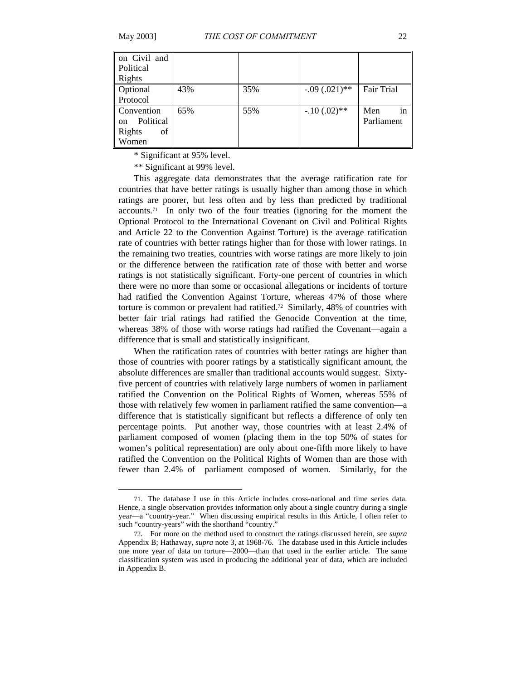$\overline{a}$ 

| on Civil and<br>Political<br>Rights |     |     |                 |                         |
|-------------------------------------|-----|-----|-----------------|-------------------------|
| Optional                            | 43% | 35% | $-.09(.021)$ ** | <b>Fair Trial</b>       |
| Protocol                            |     |     |                 |                         |
| Convention<br>Political<br>on       | 65% | 55% | $-.10(.02)**$   | in<br>Men<br>Parliament |
| Rights<br>of<br>Women               |     |     |                 |                         |

\* Significant at 95% level.

\*\* Significant at 99% level.

This aggregate data demonstrates that the average ratification rate for countries that have better ratings is usually higher than among those in which ratings are poorer, but less often and by less than predicted by traditional  $accounts.<sup>71</sup>$  In only two of the four treaties (ignoring for the moment the Optional Protocol to the International Covenant on Civil and Political Rights and Article 22 to the Convention Against Torture) is the average ratification rate of countries with better ratings higher than for those with lower ratings. In the remaining two treaties, countries with worse ratings are more likely to join or the difference between the ratification rate of those with better and worse ratings is not statistically significant. Forty-one percent of countries in which there were no more than some or occasional allegations or incidents of torture had ratified the Convention Against Torture, whereas 47% of those where torture is common or prevalent had ratified.72 Similarly, 48% of countries with better fair trial ratings had ratified the Genocide Convention at the time, whereas 38% of those with worse ratings had ratified the Covenant—again a difference that is small and statistically insignificant.

When the ratification rates of countries with better ratings are higher than those of countries with poorer ratings by a statistically significant amount, the absolute differences are smaller than traditional accounts would suggest. Sixtyfive percent of countries with relatively large numbers of women in parliament ratified the Convention on the Political Rights of Women, whereas 55% of those with relatively few women in parliament ratified the same convention—a difference that is statistically significant but reflects a difference of only ten percentage points. Put another way, those countries with at least 2.4% of parliament composed of women (placing them in the top 50% of states for women's political representation) are only about one-fifth more likely to have ratified the Convention on the Political Rights of Women than are those with fewer than 2.4% of parliament composed of women. Similarly, for the

<sup>71.</sup> The database I use in this Article includes cross-national and time series data. Hence, a single observation provides information only about a single country during a single year—a "country-year." When discussing empirical results in this Article, I often refer to such "country-years" with the shorthand "country."

<sup>72.</sup> For more on the method used to construct the ratings discussed herein, see *supra* Appendix B; Hathaway, *supra* note 3, at 1968-76. The database used in this Article includes one more year of data on torture—2000—than that used in the earlier article. The same classification system was used in producing the additional year of data, which are included in Appendix B.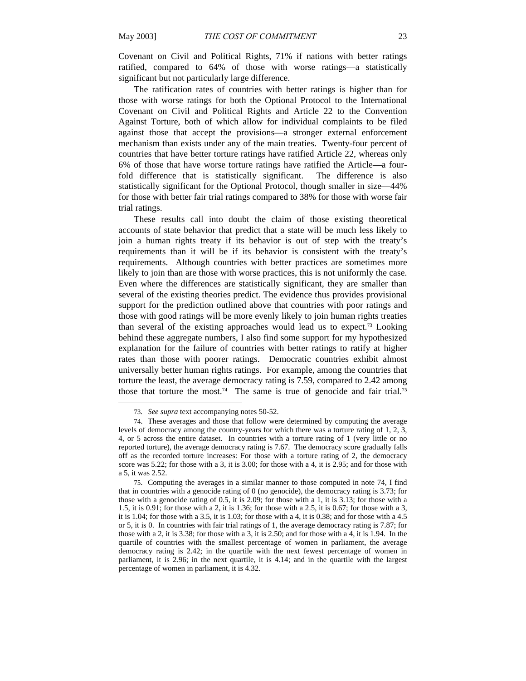Covenant on Civil and Political Rights, 71% if nations with better ratings ratified, compared to 64% of those with worse ratings—a statistically significant but not particularly large difference.

The ratification rates of countries with better ratings is higher than for those with worse ratings for both the Optional Protocol to the International Covenant on Civil and Political Rights and Article 22 to the Convention Against Torture, both of which allow for individual complaints to be filed against those that accept the provisions—a stronger external enforcement mechanism than exists under any of the main treaties. Twenty-four percent of countries that have better torture ratings have ratified Article 22, whereas only 6% of those that have worse torture ratings have ratified the Article—a fourfold difference that is statistically significant. The difference is also statistically significant for the Optional Protocol, though smaller in size—44% for those with better fair trial ratings compared to 38% for those with worse fair trial ratings.

These results call into doubt the claim of those existing theoretical accounts of state behavior that predict that a state will be much less likely to join a human rights treaty if its behavior is out of step with the treaty's requirements than it will be if its behavior is consistent with the treaty's requirements. Although countries with better practices are sometimes more likely to join than are those with worse practices, this is not uniformly the case. Even where the differences are statistically significant, they are smaller than several of the existing theories predict. The evidence thus provides provisional support for the prediction outlined above that countries with poor ratings and those with good ratings will be more evenly likely to join human rights treaties than several of the existing approaches would lead us to expect.73 Looking behind these aggregate numbers, I also find some support for my hypothesized explanation for the failure of countries with better ratings to ratify at higher rates than those with poorer ratings. Democratic countries exhibit almost universally better human rights ratings. For example, among the countries that torture the least, the average democracy rating is 7.59, compared to 2.42 among those that torture the most.<sup>74</sup> The same is true of genocide and fair trial.<sup>75</sup>

<sup>73</sup>*. See supra* text accompanying notes 50-52.

<sup>74.</sup> These averages and those that follow were determined by computing the average levels of democracy among the country-years for which there was a torture rating of 1, 2, 3, 4, or 5 across the entire dataset. In countries with a torture rating of 1 (very little or no reported torture), the average democracy rating is 7.67. The democracy score gradually falls off as the recorded torture increases: For those with a torture rating of 2, the democracy score was 5.22; for those with a 3, it is 3.00; for those with a 4, it is 2.95; and for those with a 5, it was 2.52.

<sup>75.</sup> Computing the averages in a similar manner to those computed in note 74, I find that in countries with a genocide rating of 0 (no genocide), the democracy rating is 3.73; for those with a genocide rating of 0.5, it is 2.09; for those with a 1, it is 3.13; for those with a 1.5, it is 0.91; for those with a 2, it is 1.36; for those with a 2.5, it is 0.67; for those with a 3, it is 1.04; for those with a 3.5, it is 1.03; for those with a 4, it is 0.38; and for those with a 4.5 or 5, it is 0. In countries with fair trial ratings of 1, the average democracy rating is 7.87; for those with a 2, it is 3.38; for those with a 3, it is 2.50; and for those with a 4, it is 1.94. In the quartile of countries with the smallest percentage of women in parliament, the average democracy rating is 2.42; in the quartile with the next fewest percentage of women in parliament, it is 2.96; in the next quartile, it is 4.14; and in the quartile with the largest percentage of women in parliament, it is 4.32.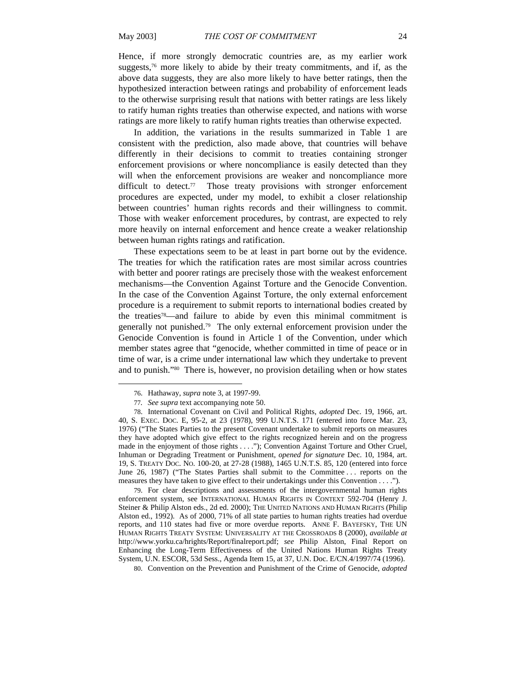Hence, if more strongly democratic countries are, as my earlier work suggests, $76$  more likely to abide by their treaty commitments, and if, as the above data suggests, they are also more likely to have better ratings, then the hypothesized interaction between ratings and probability of enforcement leads to the otherwise surprising result that nations with better ratings are less likely to ratify human rights treaties than otherwise expected, and nations with worse ratings are more likely to ratify human rights treaties than otherwise expected.

In addition, the variations in the results summarized in Table 1 are consistent with the prediction, also made above, that countries will behave differently in their decisions to commit to treaties containing stronger enforcement provisions or where noncompliance is easily detected than they will when the enforcement provisions are weaker and noncompliance more difficult to detect.<sup>77</sup> Those treaty provisions with stronger enforcement procedures are expected, under my model, to exhibit a closer relationship between countries' human rights records and their willingness to commit. Those with weaker enforcement procedures, by contrast, are expected to rely more heavily on internal enforcement and hence create a weaker relationship between human rights ratings and ratification.

These expectations seem to be at least in part borne out by the evidence. The treaties for which the ratification rates are most similar across countries with better and poorer ratings are precisely those with the weakest enforcement mechanisms—the Convention Against Torture and the Genocide Convention. In the case of the Convention Against Torture, the only external enforcement procedure is a requirement to submit reports to international bodies created by the treaties78—and failure to abide by even this minimal commitment is generally not punished.<sup>79</sup> The only external enforcement provision under the Genocide Convention is found in Article 1 of the Convention, under which member states agree that "genocide, whether committed in time of peace or in time of war, is a crime under international law which they undertake to prevent and to punish."80 There is, however, no provision detailing when or how states

 $\overline{a}$ 

79. For clear descriptions and assessments of the intergovernmental human rights enforcement system, see INTERNATIONAL HUMAN RIGHTS IN CONTEXT 592-704 (Henry J. Steiner & Philip Alston eds., 2d ed. 2000); THE UNITED NATIONS AND HUMAN RIGHTS (Philip Alston ed., 1992). As of 2000, 71% of all state parties to human rights treaties had overdue reports, and 110 states had five or more overdue reports. ANNE F. BAYEFSKY, THE UN HUMAN RIGHTS TREATY SYSTEM: UNIVERSALITY AT THE CROSSROADS 8 (2000), *available at* http://www.yorku.ca/hrights/Report/finalreport.pdf; *see* Philip Alston, Final Report on Enhancing the Long-Term Effectiveness of the United Nations Human Rights Treaty System, U.N. ESCOR, 53d Sess., Agenda Item 15, at 37, U.N. Doc. E/CN.4/1997/74 (1996).

80. Convention on the Prevention and Punishment of the Crime of Genocide, *adopted*

<sup>76.</sup> Hathaway, *supra* note 3, at 1997-99.

<sup>77</sup>*. See supra* text accompanying note 50.

<sup>78.</sup> International Covenant on Civil and Political Rights, *adopted* Dec. 19, 1966, art. 40, S. EXEC. DOC. E, 95-2, at 23 (1978), 999 U.N.T.S. 171 (entered into force Mar. 23, 1976) ("The States Parties to the present Covenant undertake to submit reports on measures they have adopted which give effect to the rights recognized herein and on the progress made in the enjoyment of those rights . . . ."); Convention Against Torture and Other Cruel, Inhuman or Degrading Treatment or Punishment, *opened for signature* Dec. 10, 1984, art. 19, S. TREATY DOC. NO. 100-20, at 27-28 (1988), 1465 U.N.T.S. 85, 120 (entered into force June 26, 1987) ("The States Parties shall submit to the Committee . . . reports on the measures they have taken to give effect to their undertakings under this Convention . . . .").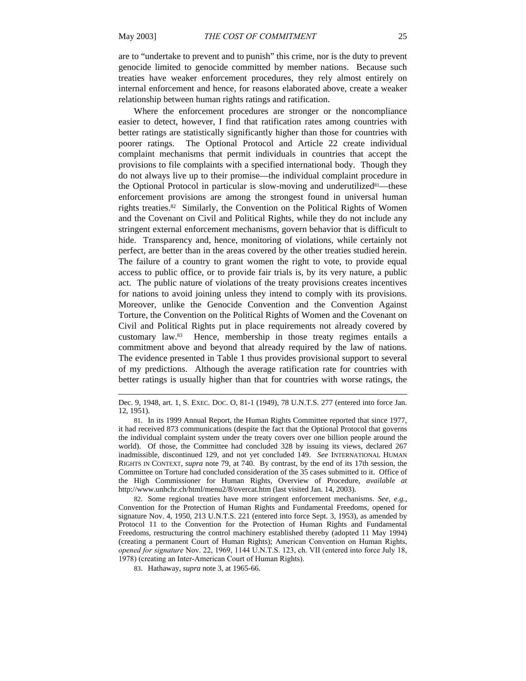$\overline{a}$ 

are to "undertake to prevent and to punish" this crime, nor is the duty to prevent genocide limited to genocide committed by member nations. Because such treaties have weaker enforcement procedures, they rely almost entirely on internal enforcement and hence, for reasons elaborated above, create a weaker relationship between human rights ratings and ratification.

Where the enforcement procedures are stronger or the noncompliance easier to detect, however, I find that ratification rates among countries with better ratings are statistically significantly higher than those for countries with poorer ratings. The Optional Protocol and Article 22 create individual complaint mechanisms that permit individuals in countries that accept the provisions to file complaints with a specified international body. Though they do not always live up to their promise—the individual complaint procedure in the Optional Protocol in particular is slow-moving and underutilized<sup>81</sup>—these enforcement provisions are among the strongest found in universal human rights treaties.82 Similarly, the Convention on the Political Rights of Women and the Covenant on Civil and Political Rights, while they do not include any stringent external enforcement mechanisms, govern behavior that is difficult to hide. Transparency and, hence, monitoring of violations, while certainly not perfect, are better than in the areas covered by the other treaties studied herein. The failure of a country to grant women the right to vote, to provide equal access to public office, or to provide fair trials is, by its very nature, a public act. The public nature of violations of the treaty provisions creates incentives for nations to avoid joining unless they intend to comply with its provisions. Moreover, unlike the Genocide Convention and the Convention Against Torture, the Convention on the Political Rights of Women and the Covenant on Civil and Political Rights put in place requirements not already covered by customary law.83 Hence, membership in those treaty regimes entails a commitment above and beyond that already required by the law of nations. The evidence presented in Table 1 thus provides provisional support to several of my predictions. Although the average ratification rate for countries with better ratings is usually higher than that for countries with worse ratings, the

Dec. 9, 1948, art. 1, S. EXEC. DOC. O, 81-1 (1949), 78 U.N.T.S. 277 (entered into force Jan. 12, 1951).

<sup>81.</sup> In its 1999 Annual Report, the Human Rights Committee reported that since 1977, it had received 873 communications (despite the fact that the Optional Protocol that governs the individual complaint system under the treaty covers over one billion people around the world). Of those, the Committee had concluded 328 by issuing its views, declared 267 inadmissible, discontinued 129, and not yet concluded 149. *See* INTERNATIONAL HUMAN RIGHTS IN CONTEXT, *supra* note 79, at 740. By contrast, by the end of its 17th session, the Committee on Torture had concluded consideration of the 35 cases submitted to it. Office of the High Commissioner for Human Rights, Overview of Procedure, *available at*  http://www.unhchr.ch/html/menu2/8/overcat.htm (last visited Jan. 14, 2003).

<sup>82.</sup> Some regional treaties have more stringent enforcement mechanisms. *See, e.g.*, Convention for the Protection of Human Rights and Fundamental Freedoms, opened for signature Nov. 4, 1950, 213 U.N.T.S. 221 (entered into force Sept. 3, 1953), as amended by Protocol 11 to the Convention for the Protection of Human Rights and Fundamental Freedoms, restructuring the control machinery established thereby (adopted 11 May 1994) (creating a permanent Court of Human Rights); American Convention on Human Rights, *opened for signature* Nov. 22, 1969, 1144 U.N.T.S. 123, ch. VII (entered into force July 18, 1978) (creating an Inter-American Court of Human Rights).

<sup>83.</sup> Hathaway, *supra* note 3, at 1965-66.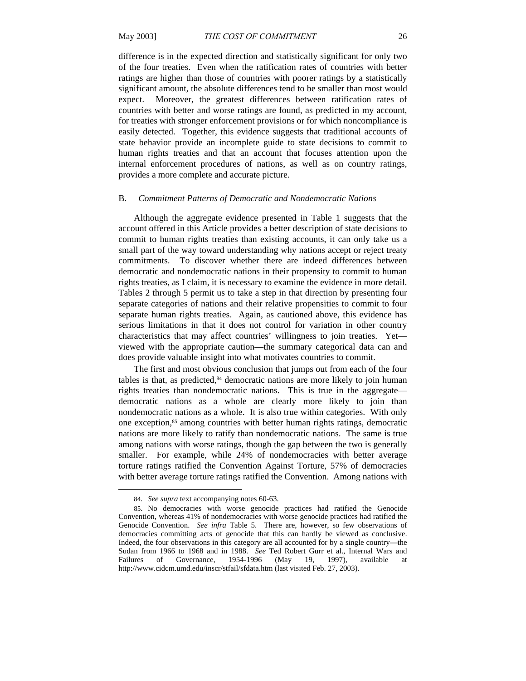difference is in the expected direction and statistically significant for only two of the four treaties. Even when the ratification rates of countries with better ratings are higher than those of countries with poorer ratings by a statistically significant amount, the absolute differences tend to be smaller than most would expect. Moreover, the greatest differences between ratification rates of countries with better and worse ratings are found, as predicted in my account, for treaties with stronger enforcement provisions or for which noncompliance is easily detected. Together, this evidence suggests that traditional accounts of state behavior provide an incomplete guide to state decisions to commit to human rights treaties and that an account that focuses attention upon the internal enforcement procedures of nations, as well as on country ratings, provides a more complete and accurate picture.

#### B. *Commitment Patterns of Democratic and Nondemocratic Nations*

Although the aggregate evidence presented in Table 1 suggests that the account offered in this Article provides a better description of state decisions to commit to human rights treaties than existing accounts, it can only take us a small part of the way toward understanding why nations accept or reject treaty commitments. To discover whether there are indeed differences between democratic and nondemocratic nations in their propensity to commit to human rights treaties, as I claim, it is necessary to examine the evidence in more detail. Tables 2 through 5 permit us to take a step in that direction by presenting four separate categories of nations and their relative propensities to commit to four separate human rights treaties. Again, as cautioned above, this evidence has serious limitations in that it does not control for variation in other country characteristics that may affect countries' willingness to join treaties. Yet viewed with the appropriate caution—the summary categorical data can and does provide valuable insight into what motivates countries to commit.

The first and most obvious conclusion that jumps out from each of the four tables is that, as predicted,<sup>84</sup> democratic nations are more likely to join human rights treaties than nondemocratic nations. This is true in the aggregate democratic nations as a whole are clearly more likely to join than nondemocratic nations as a whole. It is also true within categories. With only one exception,85 among countries with better human rights ratings, democratic nations are more likely to ratify than nondemocratic nations. The same is true among nations with worse ratings, though the gap between the two is generally smaller. For example, while 24% of nondemocracies with better average torture ratings ratified the Convention Against Torture, 57% of democracies with better average torture ratings ratified the Convention. Among nations with

<sup>84</sup>*. See supra* text accompanying notes 60-63.

<sup>85.</sup> No democracies with worse genocide practices had ratified the Genocide Convention, whereas 41% of nondemocracies with worse genocide practices had ratified the Genocide Convention. *See infra* Table 5. There are, however, so few observations of democracies committing acts of genocide that this can hardly be viewed as conclusive. Indeed, the four observations in this category are all accounted for by a single country—the Sudan from 1966 to 1968 and in 1988. *See* Ted Robert Gurr et al., Internal Wars and Failures of Governance, 1954-1996 (May 19, 1997), available at http://www.cidcm.umd.edu/inscr/stfail/sfdata.htm (last visited Feb. 27, 2003).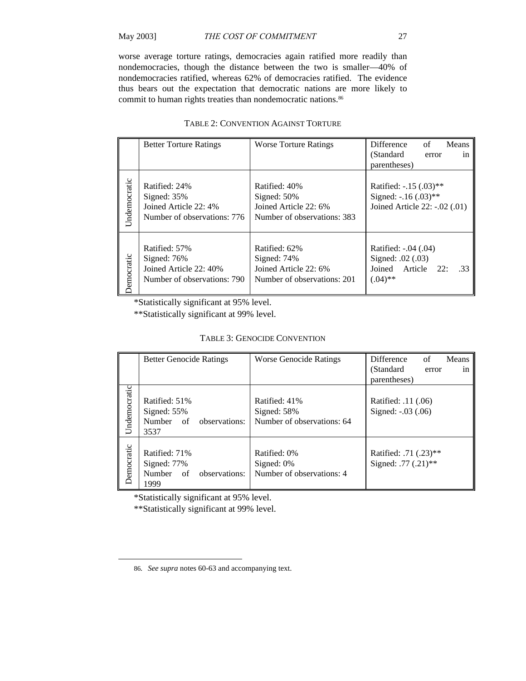worse average torture ratings, democracies again ratified more readily than nondemocracies, though the distance between the two is smaller—40% of nondemocracies ratified, whereas 62% of democracies ratified. The evidence thus bears out the expectation that democratic nations are more likely to commit to human rights treaties than nondemocratic nations.<sup>86</sup>

|              | <b>Better Torture Ratings</b>                                                          | <b>Worse Torture Ratings</b>                                                            | Difference<br>Means<br>of<br>(Standard)<br>in<br>error<br>parentheses)                    |
|--------------|----------------------------------------------------------------------------------------|-----------------------------------------------------------------------------------------|-------------------------------------------------------------------------------------------|
| Undemocratic | Ratified: 24%<br>Signed: $35%$<br>Joined Article 22: 4%<br>Number of observations: 776 | Ratified: 40%<br>Signed: $50\%$<br>Joined Article 22: 6%<br>Number of observations: 383 | Ratified: $-0.15$ (.03)**<br>Signed: $-0.16$ $(0.03)$ **<br>Joined Article 22: -.02 (.01) |
| emocratic    | Ratified: 57%<br>Signed: 76%<br>Joined Article 22: 40%<br>Number of observations: 790  | Ratified: 62%<br>Signed: $74%$<br>Joined Article 22: 6%<br>Number of observations: 201  | Ratified: -.04 (.04)<br>Signed: .02 (.03)<br>Joined Article<br>22:<br>.33<br>$(.04)$ **   |

# TABLE 2: CONVENTION AGAINST TORTURE

\*Statistically significant at 95% level.

\*\*Statistically significant at 99% level.

| <b>TABLE 3: GENOCIDE CONVENTION</b> |  |
|-------------------------------------|--|
|-------------------------------------|--|

|              | <b>Better Genocide Ratings</b>                                        | <b>Worse Genocide Ratings</b>                                | Difference<br>Means<br>of                    |
|--------------|-----------------------------------------------------------------------|--------------------------------------------------------------|----------------------------------------------|
|              |                                                                       |                                                              | (Standard)<br>error<br>1n                    |
|              |                                                                       |                                                              | parentheses)                                 |
| Undemocratic | Ratified: 51%<br>Signed: 55%<br>Number of<br>observations:<br>3537    | Ratified: 41%<br>Signed: $58%$<br>Number of observations: 64 | Ratified: .11 (.06)<br>Signed: -.03 (.06)    |
| Democratic   | Ratified: 71%<br>Signed: 77%<br>Number<br>observations:<br>of<br>1999 | Ratified: 0%<br>Signed: $0\%$<br>Number of observations: 4   | Ratified: .71 (.23)**<br>Signed: .77 (.21)** |

\*Statistically significant at 95% level.

\*\*Statistically significant at 99% level.

<sup>86</sup>*. See supra* notes 60-63 and accompanying text.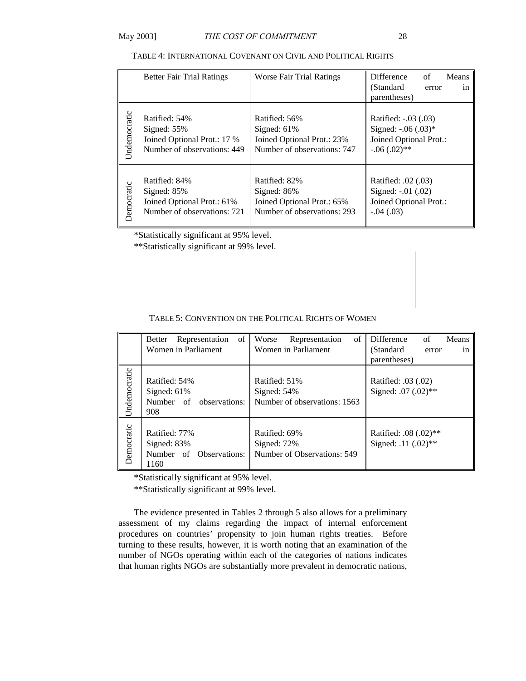| TABLE 4: INTERNATIONAL COVENANT ON CIVIL AND POLITICAL RIGHTS |  |  |
|---------------------------------------------------------------|--|--|
|---------------------------------------------------------------|--|--|

|              | <b>Better Fair Trial Ratings</b> | <b>Worse Fair Trial Ratings</b> | Difference<br>Means<br>of<br>(Standard)<br>error<br>in<br>parentheses) |
|--------------|----------------------------------|---------------------------------|------------------------------------------------------------------------|
| Undemocratic | Ratified: 54%                    | Ratified: 56%                   | Ratified: -.03 (.03)                                                   |
|              | Signed: $55%$                    | Signed: $61\%$                  | Signed: $-0.06$ $(0.03)*$                                              |
|              | Joined Optional Prot.: 17 %      | Joined Optional Prot.: 23%      | Joined Optional Prot.:                                                 |
|              | Number of observations: 449      | Number of observations: 747     | $-.06(.02)$ **                                                         |
| Democratic   | Ratified: 84%                    | Ratified: 82%                   | Ratified: .02 (.03)                                                    |
|              | Signed: $85%$                    | Signed: 86%                     | Signed: -.01 (.02)                                                     |
|              | Joined Optional Prot.: 61%       | Joined Optional Prot.: 65%      | Joined Optional Prot.:                                                 |
|              | Number of observations: 721      | Number of observations: 293     | $-.04(.03)$                                                            |

\*Statistically significant at 95% level.

\*\*Statistically significant at 99% level.

|              | of<br>Representation<br>Better                                   | of<br>Worse<br>Representation                                | Difference<br>Means<br>of                       |
|--------------|------------------------------------------------------------------|--------------------------------------------------------------|-------------------------------------------------|
|              | Women in Parliament                                              | Women in Parliament                                          | (Standard)<br>error<br>1n                       |
|              |                                                                  |                                                              | parentheses)                                    |
| Undemocratic | Ratified: 54%<br>Signed: $61%$<br>Number of observations:<br>908 | Ratified: 51%<br>Signed: 54%<br>Number of observations: 1563 | Ratified: .03 (.02)<br>Signed: .07 (.02)**      |
| Democratic   | Ratified: 77%<br>Signed: 83%<br>Number of Observations:<br>1160  | Ratified: 69%<br>Signed: 72%<br>Number of Observations: 549  | Ratified: .08 $(.02)$ **<br>Signed: .11 (.02)** |

\*Statistically significant at 95% level.

\*\*Statistically significant at 99% level.

The evidence presented in Tables 2 through 5 also allows for a preliminary assessment of my claims regarding the impact of internal enforcement procedures on countries' propensity to join human rights treaties. Before turning to these results, however, it is worth noting that an examination of the number of NGOs operating within each of the categories of nations indicates that human rights NGOs are substantially more prevalent in democratic nations,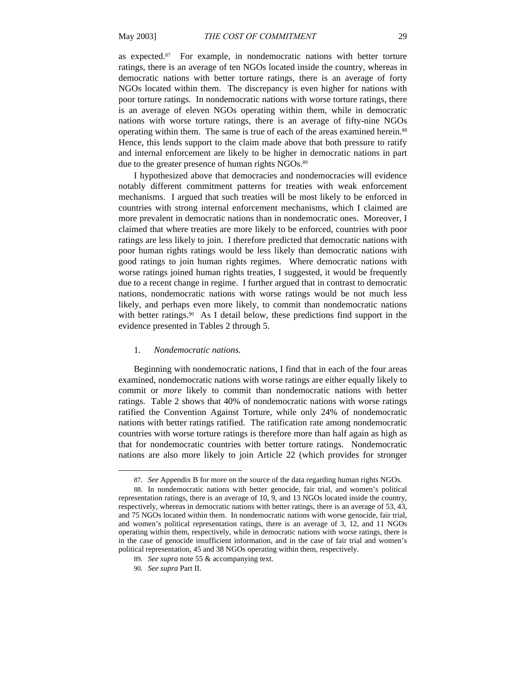as expected.87 For example, in nondemocratic nations with better torture ratings, there is an average of ten NGOs located inside the country, whereas in democratic nations with better torture ratings, there is an average of forty NGOs located within them. The discrepancy is even higher for nations with poor torture ratings. In nondemocratic nations with worse torture ratings, there is an average of eleven NGOs operating within them, while in democratic nations with worse torture ratings, there is an average of fifty-nine NGOs operating within them. The same is true of each of the areas examined herein.<sup>88</sup> Hence, this lends support to the claim made above that both pressure to ratify and internal enforcement are likely to be higher in democratic nations in part due to the greater presence of human rights NGOs.<sup>89</sup>

I hypothesized above that democracies and nondemocracies will evidence notably different commitment patterns for treaties with weak enforcement mechanisms. I argued that such treaties will be most likely to be enforced in countries with strong internal enforcement mechanisms, which I claimed are more prevalent in democratic nations than in nondemocratic ones. Moreover, I claimed that where treaties are more likely to be enforced, countries with poor ratings are less likely to join. I therefore predicted that democratic nations with poor human rights ratings would be less likely than democratic nations with good ratings to join human rights regimes. Where democratic nations with worse ratings joined human rights treaties, I suggested, it would be frequently due to a recent change in regime. I further argued that in contrast to democratic nations, nondemocratic nations with worse ratings would be not much less likely, and perhaps even more likely, to commit than nondemocratic nations with better ratings.<sup>90</sup> As I detail below, these predictions find support in the evidence presented in Tables 2 through 5.

### 1. *Nondemocratic nations.*

Beginning with nondemocratic nations, I find that in each of the four areas examined, nondemocratic nations with worse ratings are either equally likely to commit or *more* likely to commit than nondemocratic nations with better ratings. Table 2 shows that 40% of nondemocratic nations with worse ratings ratified the Convention Against Torture, while only 24% of nondemocratic nations with better ratings ratified. The ratification rate among nondemocratic countries with worse torture ratings is therefore more than half again as high as that for nondemocratic countries with better torture ratings. Nondemocratic nations are also more likely to join Article 22 (which provides for stronger

l

<sup>87</sup>*. See* Appendix B for more on the source of the data regarding human rights NGOs.

<sup>88.</sup> In nondemocratic nations with better genocide, fair trial, and women's political representation ratings, there is an average of 10, 9, and 13 NGOs located inside the country, respectively, whereas in democratic nations with better ratings, there is an average of 53, 43, and 75 NGOs located within them. In nondemocratic nations with worse genocide, fair trial, and women's political representation ratings, there is an average of 3, 12, and 11 NGOs operating within them, respectively, while in democratic nations with worse ratings, there is in the case of genocide insufficient information, and in the case of fair trial and women's political representation, 45 and 38 NGOs operating within them, respectively.

<sup>89</sup>*. See supra* note 55 & accompanying text.

<sup>90</sup>*. See supra* Part II.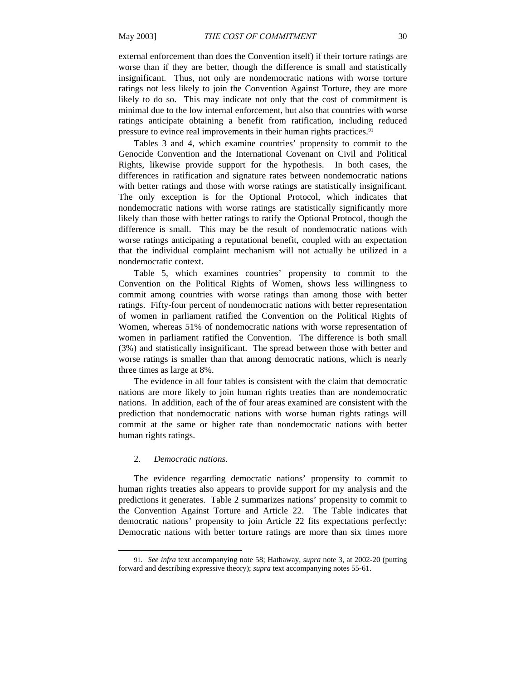external enforcement than does the Convention itself) if their torture ratings are worse than if they are better, though the difference is small and statistically insignificant. Thus, not only are nondemocratic nations with worse torture ratings not less likely to join the Convention Against Torture, they are more likely to do so. This may indicate not only that the cost of commitment is minimal due to the low internal enforcement, but also that countries with worse ratings anticipate obtaining a benefit from ratification, including reduced pressure to evince real improvements in their human rights practices.<sup>91</sup>

Tables 3 and 4, which examine countries' propensity to commit to the Genocide Convention and the International Covenant on Civil and Political Rights, likewise provide support for the hypothesis. In both cases, the differences in ratification and signature rates between nondemocratic nations with better ratings and those with worse ratings are statistically insignificant. The only exception is for the Optional Protocol, which indicates that nondemocratic nations with worse ratings are statistically significantly more likely than those with better ratings to ratify the Optional Protocol, though the difference is small. This may be the result of nondemocratic nations with worse ratings anticipating a reputational benefit, coupled with an expectation that the individual complaint mechanism will not actually be utilized in a nondemocratic context.

Table 5, which examines countries' propensity to commit to the Convention on the Political Rights of Women, shows less willingness to commit among countries with worse ratings than among those with better ratings. Fifty-four percent of nondemocratic nations with better representation of women in parliament ratified the Convention on the Political Rights of Women, whereas 51% of nondemocratic nations with worse representation of women in parliament ratified the Convention. The difference is both small (3%) and statistically insignificant. The spread between those with better and worse ratings is smaller than that among democratic nations, which is nearly three times as large at 8%.

The evidence in all four tables is consistent with the claim that democratic nations are more likely to join human rights treaties than are nondemocratic nations. In addition, each of the of four areas examined are consistent with the prediction that nondemocratic nations with worse human rights ratings will commit at the same or higher rate than nondemocratic nations with better human rights ratings.

# 2. *Democratic nations.*

l

The evidence regarding democratic nations' propensity to commit to human rights treaties also appears to provide support for my analysis and the predictions it generates. Table 2 summarizes nations' propensity to commit to the Convention Against Torture and Article 22. The Table indicates that democratic nations' propensity to join Article 22 fits expectations perfectly: Democratic nations with better torture ratings are more than six times more

<sup>91</sup>*. See infra* text accompanying note 58; Hathaway, *supra* note 3, at 2002-20 (putting forward and describing expressive theory); *supra* text accompanying notes 55-61.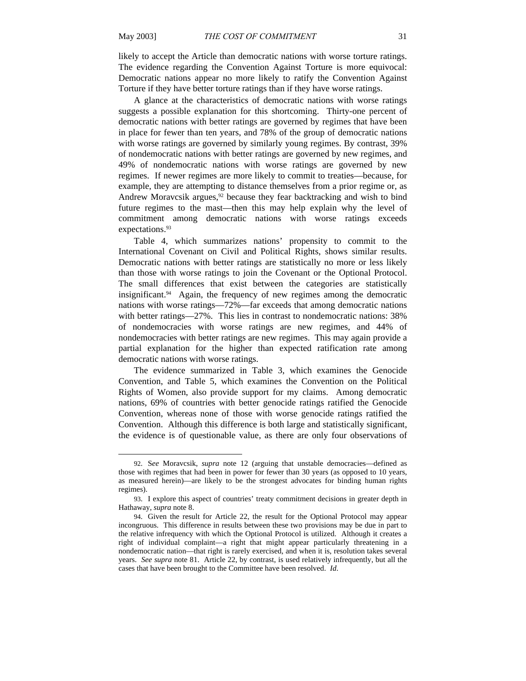$\overline{a}$ 

likely to accept the Article than democratic nations with worse torture ratings. The evidence regarding the Convention Against Torture is more equivocal: Democratic nations appear no more likely to ratify the Convention Against Torture if they have better torture ratings than if they have worse ratings.

A glance at the characteristics of democratic nations with worse ratings suggests a possible explanation for this shortcoming. Thirty-one percent of democratic nations with better ratings are governed by regimes that have been in place for fewer than ten years, and 78% of the group of democratic nations with worse ratings are governed by similarly young regimes. By contrast, 39% of nondemocratic nations with better ratings are governed by new regimes, and 49% of nondemocratic nations with worse ratings are governed by new regimes. If newer regimes are more likely to commit to treaties—because, for example, they are attempting to distance themselves from a prior regime or, as Andrew Moravcsik argues,<sup>92</sup> because they fear backtracking and wish to bind future regimes to the mast—then this may help explain why the level of commitment among democratic nations with worse ratings exceeds expectations.<sup>93</sup>

Table 4, which summarizes nations' propensity to commit to the International Covenant on Civil and Political Rights, shows similar results. Democratic nations with better ratings are statistically no more or less likely than those with worse ratings to join the Covenant or the Optional Protocol. The small differences that exist between the categories are statistically insignificant. $94$  Again, the frequency of new regimes among the democratic nations with worse ratings—72%—far exceeds that among democratic nations with better ratings—27%. This lies in contrast to nondemocratic nations: 38% of nondemocracies with worse ratings are new regimes, and 44% of nondemocracies with better ratings are new regimes. This may again provide a partial explanation for the higher than expected ratification rate among democratic nations with worse ratings.

The evidence summarized in Table 3, which examines the Genocide Convention, and Table 5, which examines the Convention on the Political Rights of Women, also provide support for my claims. Among democratic nations, 69% of countries with better genocide ratings ratified the Genocide Convention, whereas none of those with worse genocide ratings ratified the Convention. Although this difference is both large and statistically significant, the evidence is of questionable value, as there are only four observations of

<sup>92.</sup> S*ee* Moravcsik, *supra* note 12 (arguing that unstable democracies—defined as those with regimes that had been in power for fewer than 30 years (as opposed to 10 years, as measured herein)—are likely to be the strongest advocates for binding human rights regimes).

<sup>93.</sup> I explore this aspect of countries' treaty commitment decisions in greater depth in Hathaway, *supra* note 8.

<sup>94.</sup> Given the result for Article 22, the result for the Optional Protocol may appear incongruous. This difference in results between these two provisions may be due in part to the relative infrequency with which the Optional Protocol is utilized. Although it creates a right of individual complaint—a right that might appear particularly threatening in a nondemocratic nation—that right is rarely exercised, and when it is, resolution takes several years. *See supra* note 81. Article 22, by contrast, is used relatively infrequently, but all the cases that have been brought to the Committee have been resolved. *Id*.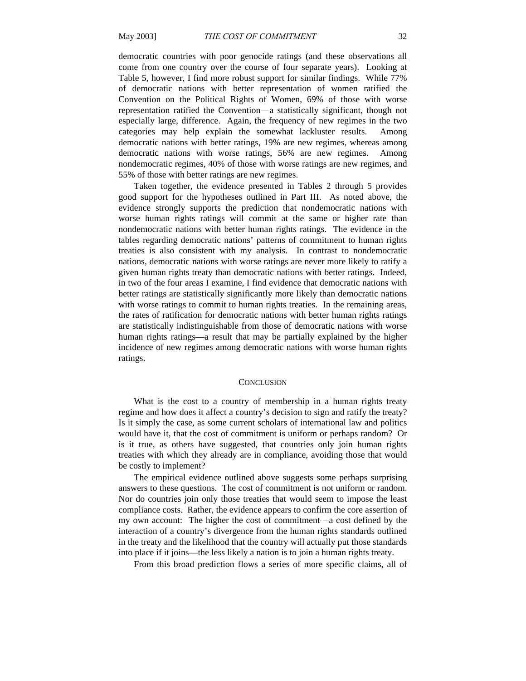democratic countries with poor genocide ratings (and these observations all come from one country over the course of four separate years). Looking at Table 5, however, I find more robust support for similar findings. While 77% of democratic nations with better representation of women ratified the Convention on the Political Rights of Women, 69% of those with worse representation ratified the Convention—a statistically significant, though not especially large, difference. Again, the frequency of new regimes in the two categories may help explain the somewhat lackluster results. Among democratic nations with better ratings, 19% are new regimes, whereas among democratic nations with worse ratings, 56% are new regimes. Among nondemocratic regimes, 40% of those with worse ratings are new regimes, and 55% of those with better ratings are new regimes.

Taken together, the evidence presented in Tables 2 through 5 provides good support for the hypotheses outlined in Part III. As noted above, the evidence strongly supports the prediction that nondemocratic nations with worse human rights ratings will commit at the same or higher rate than nondemocratic nations with better human rights ratings. The evidence in the tables regarding democratic nations' patterns of commitment to human rights treaties is also consistent with my analysis. In contrast to nondemocratic nations, democratic nations with worse ratings are never more likely to ratify a given human rights treaty than democratic nations with better ratings. Indeed, in two of the four areas I examine, I find evidence that democratic nations with better ratings are statistically significantly more likely than democratic nations with worse ratings to commit to human rights treaties. In the remaining areas, the rates of ratification for democratic nations with better human rights ratings are statistically indistinguishable from those of democratic nations with worse human rights ratings—a result that may be partially explained by the higher incidence of new regimes among democratic nations with worse human rights ratings.

#### **CONCLUSION**

What is the cost to a country of membership in a human rights treaty regime and how does it affect a country's decision to sign and ratify the treaty? Is it simply the case, as some current scholars of international law and politics would have it, that the cost of commitment is uniform or perhaps random? Or is it true, as others have suggested, that countries only join human rights treaties with which they already are in compliance, avoiding those that would be costly to implement?

The empirical evidence outlined above suggests some perhaps surprising answers to these questions. The cost of commitment is not uniform or random. Nor do countries join only those treaties that would seem to impose the least compliance costs. Rather, the evidence appears to confirm the core assertion of my own account: The higher the cost of commitment—a cost defined by the interaction of a country's divergence from the human rights standards outlined in the treaty and the likelihood that the country will actually put those standards into place if it joins—the less likely a nation is to join a human rights treaty.

From this broad prediction flows a series of more specific claims, all of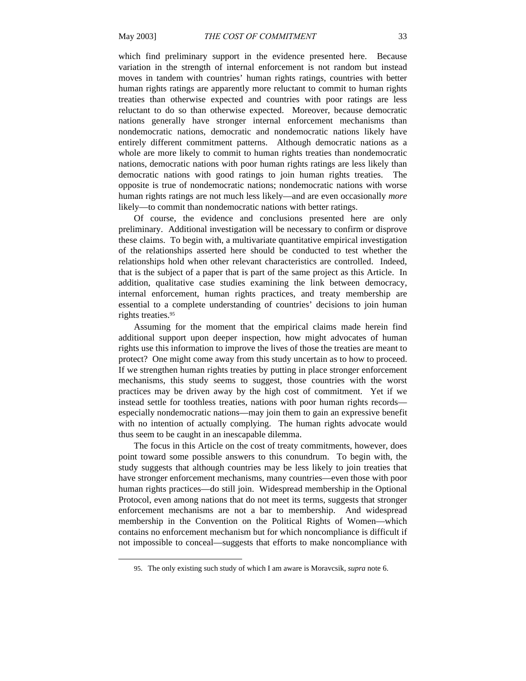$\overline{a}$ 

which find preliminary support in the evidence presented here. Because variation in the strength of internal enforcement is not random but instead moves in tandem with countries' human rights ratings, countries with better human rights ratings are apparently more reluctant to commit to human rights treaties than otherwise expected and countries with poor ratings are less reluctant to do so than otherwise expected. Moreover, because democratic nations generally have stronger internal enforcement mechanisms than nondemocratic nations, democratic and nondemocratic nations likely have entirely different commitment patterns. Although democratic nations as a whole are more likely to commit to human rights treaties than nondemocratic nations, democratic nations with poor human rights ratings are less likely than democratic nations with good ratings to join human rights treaties. The opposite is true of nondemocratic nations; nondemocratic nations with worse human rights ratings are not much less likely—and are even occasionally *more* likely—to commit than nondemocratic nations with better ratings.

Of course, the evidence and conclusions presented here are only preliminary. Additional investigation will be necessary to confirm or disprove these claims. To begin with, a multivariate quantitative empirical investigation of the relationships asserted here should be conducted to test whether the relationships hold when other relevant characteristics are controlled. Indeed, that is the subject of a paper that is part of the same project as this Article. In addition, qualitative case studies examining the link between democracy, internal enforcement, human rights practices, and treaty membership are essential to a complete understanding of countries' decisions to join human rights treaties.95

Assuming for the moment that the empirical claims made herein find additional support upon deeper inspection, how might advocates of human rights use this information to improve the lives of those the treaties are meant to protect? One might come away from this study uncertain as to how to proceed. If we strengthen human rights treaties by putting in place stronger enforcement mechanisms, this study seems to suggest, those countries with the worst practices may be driven away by the high cost of commitment. Yet if we instead settle for toothless treaties, nations with poor human rights records especially nondemocratic nations—may join them to gain an expressive benefit with no intention of actually complying. The human rights advocate would thus seem to be caught in an inescapable dilemma.

The focus in this Article on the cost of treaty commitments, however, does point toward some possible answers to this conundrum. To begin with, the study suggests that although countries may be less likely to join treaties that have stronger enforcement mechanisms, many countries—even those with poor human rights practices—do still join. Widespread membership in the Optional Protocol, even among nations that do not meet its terms, suggests that stronger enforcement mechanisms are not a bar to membership. And widespread membership in the Convention on the Political Rights of Women—which contains no enforcement mechanism but for which noncompliance is difficult if not impossible to conceal—suggests that efforts to make noncompliance with

<sup>95.</sup> The only existing such study of which I am aware is Moravcsik, *supra* note 6.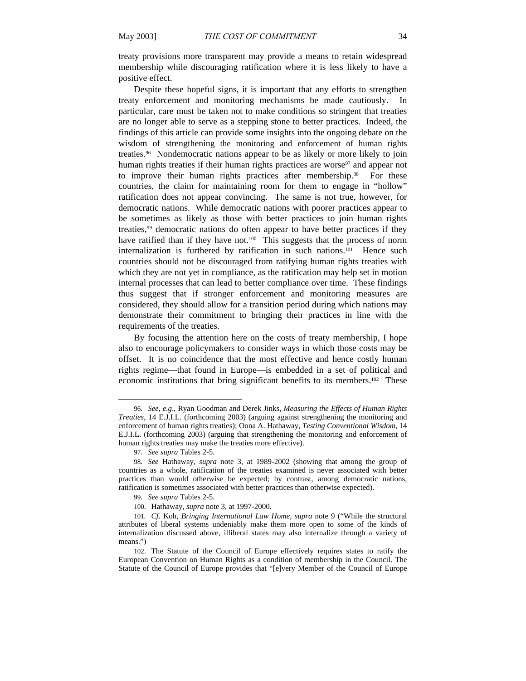treaty provisions more transparent may provide a means to retain widespread membership while discouraging ratification where it is less likely to have a positive effect.

Despite these hopeful signs, it is important that any efforts to strengthen treaty enforcement and monitoring mechanisms be made cautiously. In particular, care must be taken not to make conditions so stringent that treaties are no longer able to serve as a stepping stone to better practices. Indeed, the findings of this article can provide some insights into the ongoing debate on the wisdom of strengthening the monitoring and enforcement of human rights treaties. 96 Nondemocratic nations appear to be as likely or more likely to join human rights treaties if their human rights practices are worse<sup>97</sup> and appear not to improve their human rights practices after membership.<sup>98</sup> For these countries, the claim for maintaining room for them to engage in "hollow" ratification does not appear convincing. The same is not true, however, for democratic nations. While democratic nations with poorer practices appear to be sometimes as likely as those with better practices to join human rights treaties,99 democratic nations do often appear to have better practices if they have ratified than if they have not.<sup>100</sup> This suggests that the process of norm internalization is furthered by ratification in such nations.101 Hence such countries should not be discouraged from ratifying human rights treaties with which they are not yet in compliance, as the ratification may help set in motion internal processes that can lead to better compliance over time. These findings thus suggest that if stronger enforcement and monitoring measures are considered, they should allow for a transition period during which nations may demonstrate their commitment to bringing their practices in line with the requirements of the treaties.

 By focusing the attention here on the costs of treaty membership, I hope also to encourage policymakers to consider ways in which those costs may be offset. It is no coincidence that the most effective and hence costly human rights regime—that found in Europe—is embedded in a set of political and economic institutions that bring significant benefits to its members.<sup>102</sup> These

<sup>96</sup>*. See, e.g*., Ryan Goodman and Derek Jinks, *Measuring the Effects of Human Rights Treaties*, 14 E.J.I.L. (forthcoming 2003) (arguing against strengthening the monitoring and enforcement of human rights treaties); Oona A. Hathaway, *Testing Conventional Wisdom*, 14 E.J.I.L. (forthcoming 2003) (arguing that strengthening the monitoring and enforcement of human rights treaties may make the treaties more effective).

<sup>97</sup>*. See supra* Tables 2-5.

<sup>98</sup>*. See* Hathaway, *supra* note 3, at 1989-2002 (showing that among the group of countries as a whole, ratification of the treaties examined is never associated with better practices than would otherwise be expected; by contrast, among democratic nations, ratification is sometimes associated with better practices than otherwise expected).

<sup>99</sup>*. See supra* Tables 2-5.

<sup>100.</sup> Hathaway, *supra* note 3, at 1997-2000.

<sup>101</sup>*. Cf*. Koh, *Bringing International Law Home*, *supra* note 9 ("While the structural attributes of liberal systems undeniably make them more open to some of the kinds of internalization discussed above, illiberal states may also internalize through a variety of means.")

<sup>102.</sup> The Statute of the Council of Europe effectively requires states to ratify the European Convention on Human Rights as a condition of membership in the Council. The Statute of the Council of Europe provides that "[e]very Member of the Council of Europe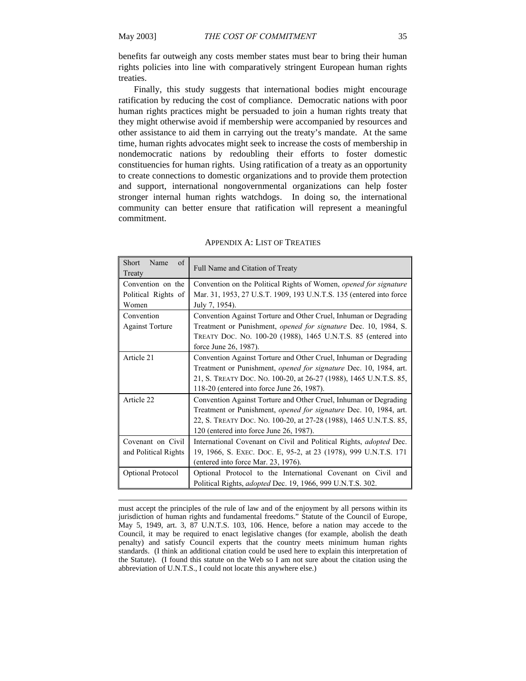$\overline{a}$ 

benefits far outweigh any costs member states must bear to bring their human rights policies into line with comparatively stringent European human rights treaties.

Finally, this study suggests that international bodies might encourage ratification by reducing the cost of compliance. Democratic nations with poor human rights practices might be persuaded to join a human rights treaty that they might otherwise avoid if membership were accompanied by resources and other assistance to aid them in carrying out the treaty's mandate. At the same time, human rights advocates might seek to increase the costs of membership in nondemocratic nations by redoubling their efforts to foster domestic constituencies for human rights. Using ratification of a treaty as an opportunity to create connections to domestic organizations and to provide them protection and support, international nongovernmental organizations can help foster stronger internal human rights watchdogs. In doing so, the international community can better ensure that ratification will represent a meaningful commitment.

| <b>Short</b><br>of<br>Name<br>Treaty                                           | Full Name and Citation of Treaty                                                       |
|--------------------------------------------------------------------------------|----------------------------------------------------------------------------------------|
| Convention on the                                                              | Convention on the Political Rights of Women, opened for signature                      |
| Political Rights of<br>Women                                                   | Mar. 31, 1953, 27 U.S.T. 1909, 193 U.N.T.S. 135 (entered into force<br>July 7, 1954).  |
| Convention                                                                     | Convention Against Torture and Other Cruel, Inhuman or Degrading                       |
| <b>Against Torture</b>                                                         | Treatment or Punishment, <i>opened for signature</i> Dec. 10, 1984, S.                 |
|                                                                                | TREATY DOC. NO. 100-20 (1988), 1465 U.N.T.S. 85 (entered into<br>force June 26, 1987). |
| Article 21                                                                     | Convention Against Torture and Other Cruel, Inhuman or Degrading                       |
|                                                                                | Treatment or Punishment, <i>opened for signature</i> Dec. 10, 1984, art.               |
|                                                                                | 21, S. TREATY DOC. NO. 100-20, at 26-27 (1988), 1465 U.N.T.S. 85,                      |
|                                                                                | 118-20 (entered into force June 26, 1987).                                             |
| Article 22<br>Convention Against Torture and Other Cruel, Inhuman or Degrading |                                                                                        |
|                                                                                | Treatment or Punishment, <i>opened for signature</i> Dec. 10, 1984, art.               |
|                                                                                | 22, S. TREATY DOC. NO. 100-20, at 27-28 (1988), 1465 U.N.T.S. 85,                      |
|                                                                                | 120 (entered into force June 26, 1987).                                                |
| Covenant on Civil                                                              | International Covenant on Civil and Political Rights, <i>adopted</i> Dec.              |
| and Political Rights                                                           | 19, 1966, S. EXEC. Doc. E, 95-2, at 23 (1978), 999 U.N.T.S. 171                        |
|                                                                                | (entered into force Mar. 23, 1976).                                                    |
| <b>Optional Protocol</b>                                                       | Optional Protocol to the International Covenant on Civil and                           |
|                                                                                | Political Rights, <i>adopted</i> Dec. 19, 1966, 999 U.N.T.S. 302.                      |

#### APPENDIX A: LIST OF TREATIES

must accept the principles of the rule of law and of the enjoyment by all persons within its jurisdiction of human rights and fundamental freedoms." Statute of the Council of Europe, May 5, 1949, art. 3, 87 U.N.T.S. 103, 106. Hence, before a nation may accede to the Council, it may be required to enact legislative changes (for example, abolish the death penalty) and satisfy Council experts that the country meets minimum human rights standards. (I think an additional citation could be used here to explain this interpretation of the Statute). (I found this statute on the Web so I am not sure about the citation using the abbreviation of U.N.T.S., I could not locate this anywhere else.)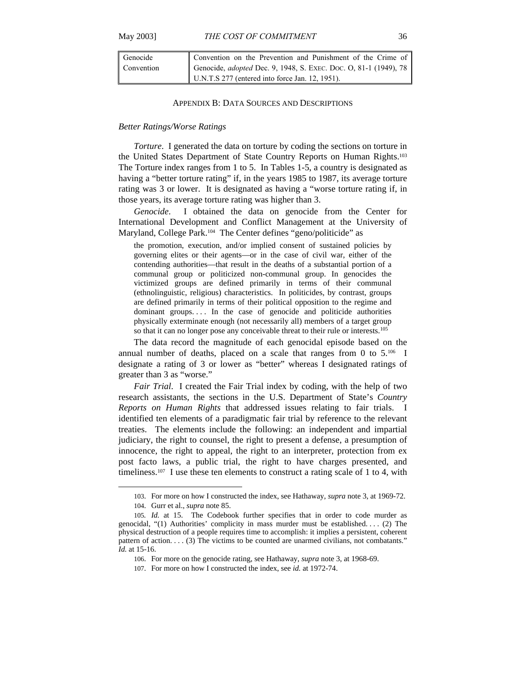| Genocide   | Convention on the Prevention and Punishment of the Crime of                                                                |
|------------|----------------------------------------------------------------------------------------------------------------------------|
| Convention | Genocide, <i>adopted</i> Dec. 9, 1948, S. EXEC. Doc. O, 81-1 (1949), 78<br>U.N.T.S 277 (entered into force Jan. 12, 1951). |
|            |                                                                                                                            |

### APPENDIX B: DATA SOURCES AND DESCRIPTIONS

#### *Better Ratings/Worse Ratings*

*Torture*. I generated the data on torture by coding the sections on torture in the United States Department of State Country Reports on Human Rights.103 The Torture index ranges from 1 to 5. In Tables 1-5, a country is designated as having a "better torture rating" if, in the years 1985 to 1987, its average torture rating was 3 or lower. It is designated as having a "worse torture rating if, in those years, its average torture rating was higher than 3.

*Genocide*. I obtained the data on genocide from the Center for International Development and Conflict Management at the University of Maryland, College Park.104 The Center defines "geno/politicide" as

the promotion, execution, and/or implied consent of sustained policies by governing elites or their agents—or in the case of civil war, either of the contending authorities—that result in the deaths of a substantial portion of a communal group or politicized non-communal group. In genocides the victimized groups are defined primarily in terms of their communal (ethnolinguistic, religious) characteristics. In politicides, by contrast, groups are defined primarily in terms of their political opposition to the regime and dominant groups.... In the case of genocide and politicide authorities physically exterminate enough (not necessarily all) members of a target group so that it can no longer pose any conceivable threat to their rule or interests.105

The data record the magnitude of each genocidal episode based on the annual number of deaths, placed on a scale that ranges from 0 to 5.106 I designate a rating of 3 or lower as "better" whereas I designated ratings of greater than 3 as "worse."

*Fair Trial*. I created the Fair Trial index by coding, with the help of two research assistants, the sections in the U.S. Department of State's *Country Reports on Human Rights* that addressed issues relating to fair trials. I identified ten elements of a paradigmatic fair trial by reference to the relevant treaties. The elements include the following: an independent and impartial judiciary, the right to counsel, the right to present a defense, a presumption of innocence, the right to appeal, the right to an interpreter, protection from ex post facto laws, a public trial, the right to have charges presented, and timeliness.107 I use these ten elements to construct a rating scale of 1 to 4, with

<sup>103.</sup> For more on how I constructed the index, see Hathaway, *supra* note 3, at 1969-72.

<sup>104.</sup> Gurr et al., *supra* note 85.

<sup>105</sup>*. Id.* at 15. The Codebook further specifies that in order to code murder as genocidal, "(1) Authorities' complicity in mass murder must be established. . . . (2) The physical destruction of a people requires time to accomplish: it implies a persistent, coherent pattern of action. . . . (3) The victims to be counted are unarmed civilians, not combatants." *Id.* at 15-16.

<sup>106.</sup> For more on the genocide rating, see Hathaway, *supra* note 3, at 1968-69.

<sup>107.</sup> For more on how I constructed the index, see *id.* at 1972-74.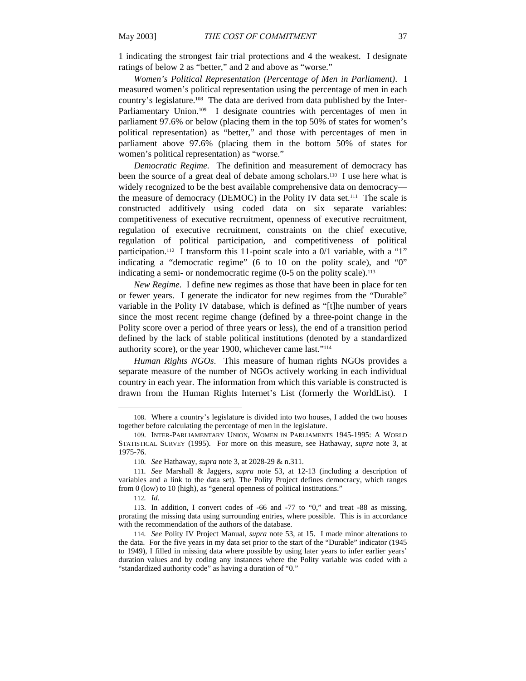1 indicating the strongest fair trial protections and 4 the weakest. I designate ratings of below 2 as "better," and 2 and above as "worse."

*Women's Political Representation (Percentage of Men in Parliament)*. I measured women's political representation using the percentage of men in each country's legislature.108 The data are derived from data published by the Inter-Parliamentary Union.<sup>109</sup> I designate countries with percentages of men in parliament 97.6% or below (placing them in the top 50% of states for women's political representation) as "better," and those with percentages of men in parliament above 97.6% (placing them in the bottom 50% of states for women's political representation) as "worse."

*Democratic Regime.* The definition and measurement of democracy has been the source of a great deal of debate among scholars.110 I use here what is widely recognized to be the best available comprehensive data on democracy the measure of democracy (DEMOC) in the Polity IV data set.111 The scale is constructed additively using coded data on six separate variables: competitiveness of executive recruitment, openness of executive recruitment, regulation of executive recruitment, constraints on the chief executive, regulation of political participation, and competitiveness of political participation.112 I transform this 11-point scale into a 0/1 variable, with a "1" indicating a "democratic regime" (6 to 10 on the polity scale), and "0" indicating a semi- or nondemocratic regime  $(0-5)$  on the polity scale).<sup>113</sup>

*New Regime.* I define new regimes as those that have been in place for ten or fewer years. I generate the indicator for new regimes from the "Durable" variable in the Polity IV database, which is defined as "[t]he number of years since the most recent regime change (defined by a three-point change in the Polity score over a period of three years or less), the end of a transition period defined by the lack of stable political institutions (denoted by a standardized authority score), or the year 1900, whichever came last."114

*Human Rights NGOs*. This measure of human rights NGOs provides a separate measure of the number of NGOs actively working in each individual country in each year. The information from which this variable is constructed is drawn from the Human Rights Internet's List (formerly the WorldList). I

<sup>108.</sup> Where a country's legislature is divided into two houses, I added the two houses together before calculating the percentage of men in the legislature.

<sup>109.</sup> INTER-PARLIAMENTARY UNION, WOMEN IN PARLIAMENTS 1945-1995: A WORLD STATISTICAL SURVEY (1995). For more on this measure, see Hathaway, *supra* note 3, at 1975-76.

<sup>110</sup>*. See* Hathaway, *supra* note 3, at 2028-29 & n.311.

<sup>111</sup>*. See* Marshall & Jaggers, *supra* note 53, at 12-13 (including a description of variables and a link to the data set). The Polity Project defines democracy, which ranges from 0 (low) to 10 (high), as "general openness of political institutions."

<sup>112</sup>*. Id.*

<sup>113.</sup> In addition, I convert codes of -66 and -77 to "0," and treat -88 as missing, prorating the missing data using surrounding entries, where possible. This is in accordance with the recommendation of the authors of the database.

<sup>114</sup>*. See* Polity IV Project Manual, *supra* note 53, at 15. I made minor alterations to the data. For the five years in my data set prior to the start of the "Durable" indicator (1945 to 1949), I filled in missing data where possible by using later years to infer earlier years' duration values and by coding any instances where the Polity variable was coded with a "standardized authority code" as having a duration of "0."